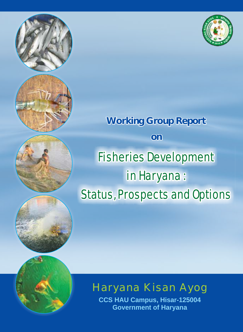

# **Working Group Report on** Fisheries Development in Haryana : Status, Prospects and Options



**CCS HAU Campus, Hisar-125004 Government of Haryana**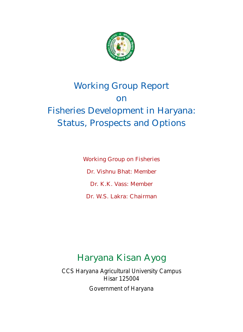

# Working Group Report on Fisheries Development in Haryana: Status, Prospects and Options

Working Group on Fisheries Dr. Vishnu Bhat: Member Dr. K.K. Vass: Member Dr. W.S. Lakra: Chairman

## Haryana Kisan Ayog

CCS Haryana Agricultural University Campus Hisar 125004 Government of Haryana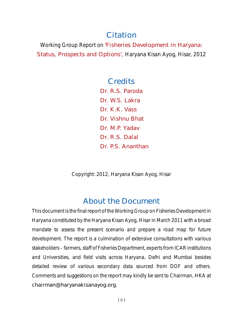### Citation

Working Group Report on 'Fisheries Development in Haryana: Status, Prospects and Options', Haryana Kisan Ayog, Hisar, 2012

### **Credits**

Dr. R.S. Paroda Dr. W.S. Lakra Dr. K.K. Vass Dr. Vishnu Bhat Dr. M.P. Yadav Dr. R.S. Dalal Dr. P.S. Ananthan

Copyright: 2012, Haryana Kisan Ayog, Hisar

### About the Document

This document is the final report of the Working Group on Fisheries Development in Haryana constituted by the Haryana Kisan Ayog, Hisar in March 2011 with a broad mandate to assess the present scenario and prepare a road map for future development. The report is a culmination of extensive consultations with various stakeholders – farmers, staff of Fisheries Department, experts from ICAR institutions and Universities, and field visits across Haryana, Delhi and Mumbai besides detailed review of various secondary data sourced from DOF and others. Comments and suggestions on the report may kindly be sent to Chairman, HKA at chairman@haryanakisanayog.org.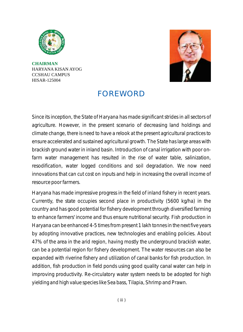

**CHAIRMAN** HARYANA KISAN AYOG CCSHAU CAMPUS HISAR-125004



### FOREWORD

Since its inception, the State of Haryana has made significant strides in all sectors of agriculture. However, in the present scenario of decreasing land holdings and climate change, there is need to have a relook at the present agricultural practices to ensure accelerated and sustained agricultural growth. The State has large areas with brackish ground water in inland basin. Introduction of canal irrigation with poor onfarm water management has resulted in the rise of water table, salinization, resodification, water logged conditions and soil degradation. We now need innovations that can cut cost on inputs and help in increasing the overall income of resource poor farmers.

Haryana has made impressive progress in the field of inland fishery in recent years. Currently, the state occupies second place in productivity (5600 kg/ha) in the country and has good potential for fishery development through diversified farming to enhance farmers' income and thus ensure nutritional security. Fish production in Haryana can be enhanced 4-5 times from present 1 lakh tonnes in the next five years by adopting innovative practices, new technologies and enabling policies. About 47% of the area in the arid region, having mostly the underground brackish water, can be a potential region for fishery development. The water resources can also be expanded with riverine fishery and utilization of canal banks for fish production. In addition, fish production in field ponds using good quality canal water can help in improving productivity. Re-circulatory water system needs to be adopted for high yielding and high value species like Sea bass, Tilapia, Shrimp and Prawn.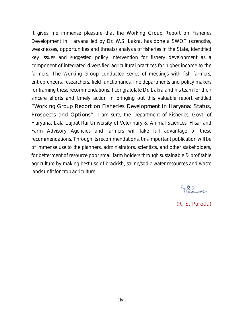It gives me immense pleasure that the Working Group Report on Fisheries Development in Haryana led by Dr. W.S. Lakra, has done a SWOT (strengths, weaknesses, opportunities and threats) analysis of fisheries in the State, identified key issues and suggested policy intervention for fishery development as a component of integrated diversified agricultural practices for higher income to the farmers. The Working Group conducted series of meetings with fish farmers, entrepreneurs, researchers, field functionaries, line departments and policy makers for framing these recommendations. I congratulate Dr. Lakra and his team for their sincere efforts and timely action in bringing out this valuable report entitled "Working Group Report on Fisheries Development in Haryana: Status, Prospects and Options". I am sure, the Department of Fisheries, Govt. of Haryana, Lala Lajpat Rai University of Veterinary & Animal Sciences, Hisar and Farm Advisory Agencies and farmers will take full advantage of these recommendations. Through its recommendations, this important publication will be of immense use to the planners, administrators, scientists, and other stakeholders, for betterment of resource poor small farm holders through sustainable & profitable agriculture by making best use of brackish, saline/sodic water resources and waste lands unfit for crop agriculture.

Poraway

(R. S. Paroda)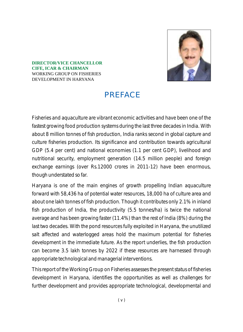

#### **DIRECTOR/VICE CHANCELLOR CIFE, ICAR & CHAIRMAN** WORKING GROUP ON FISHERIES DEVELOPMENT IN HARYANA

### **PREFACE**

Fisheries and aquaculture are vibrant economic activities and have been one of the fastest growing food production systems during the last three decades in India. With about 8 million tonnes of fish production, India ranks second in global capture and culture fisheries production. Its significance and contribution towards agricultural GDP (5.4 per cent) and national economies (1.1 per cent GDP), livelihood and nutritional security, employment generation (14.5 million people) and foreign exchange earnings (over Rs.12000 crores in 2011-12) have been enormous, though understated so far.

Haryana is one of the main engines of growth propelling Indian aquaculture forward with 58,436 ha of potential water resources, 18,000 ha of culture area and about one lakh tonnes of fish production. Though it contributes only 2.1% in inland fish production of India, the productivity (5.5 tonnes/ha) is twice the national average and has been growing faster (11.4%) than the rest of India (8%) during the last two decades. With the pond resources fully exploited in Haryana, the unutilized salt affected and waterlogged areas hold the maximum potential for fisheries development in the immediate future. As the report underlies, the fish production can become 3.5 lakh tonnes by 2022 if these resources are harnessed through appropriate technological and managerial interventions.

This report of the Working Group on Fisheries assesses the present status of fisheries development in Haryana, identifies the opportunities as well as challenges for further development and provides appropriate technological, developmental and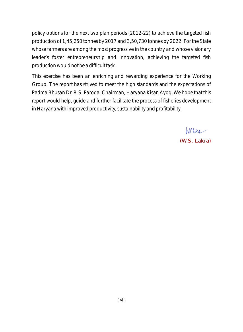policy options for the next two plan periods (2012-22) to achieve the targeted fish production of 1,45,250 tonnes by 2017 and 3,50,730 tonnes by 2022. For the State whose farmers are among the most progressive in the country and whose visionary leader's foster entrepreneurship and innovation, achieving the targeted fish production would not be a difficult task.

This exercise has been an enriching and rewarding experience for the Working Group. The report has strived to meet the high standards and the expectations of Padma Bhusan Dr. R.S. Paroda, Chairman, Haryana Kisan Ayog. We hope that this report would help, guide and further facilitate the process of fisheries development in Haryana with improved productivity, sustainability and profitability.

> Wehka (W.S. Lakra)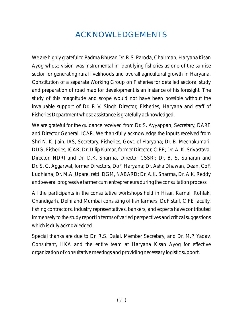### ACKNOWLEDGEMENTS

We are highly grateful to Padma Bhusan Dr. R.S. Paroda, Chairman, Haryana Kisan Ayog whose vision was instrumental in identifying fisheries as one of the sunrise sector for generating rural livelihoods and overall agricultural growth in Haryana. Constitution of a separate Working Group on Fisheries for detailed sectoral study and preparation of road map for development is an instance of his foresight. The study of this magnitude and scope would not have been possible without the invaluable support of Dr. P. V. Singh Director, Fisheries, Haryana and staff of Fisheries Department whose assistance is gratefully acknowledged.

We are grateful for the guidance received from Dr. S. Ayyappan, Secretary, DARE and Director General, ICAR. We thankfully acknowledge the inputs received from Shri N. K. Jain, IAS, Secretary, Fisheries, Govt. of Haryana; Dr. B. Meenakumari, DDG, Fisheries, ICAR; Dr. Dilip Kumar, former Director, CIFE; Dr. A. K. Srivastava, Director, NDRI and Dr. D.K. Sharma, Director CSSRI; Dr. B. S. Saharan and Dr. S. C. Aggarwal, former Directors, DoF, Haryana; Dr. Asha Dhawan, Dean, CoF, Ludhiana; Dr. M.A. Upare, retd. DGM, NABARD; Dr. A.K. Sharma, Dr. A.K. Reddy and several progressive farmer cum entrepreneurs during the consultation process.

All the participants in the consultative workshops held in Hisar, Karnal, Rohtak, Chandigarh, Delhi and Mumbai consisting of fish farmers, DoF staff, CIFE faculty, fishing contractors, industry representatives, bankers, and experts have contributed immensely to the study report in terms of varied perspectives and critical suggestions which is duly acknowledged.

Special thanks are due to Dr. R.S. Dalal, Member Secretary, and Dr. M.P. Yadav, Consultant, HKA and the entire team at Haryana Kisan Ayog for effective organization of consultative meetings and providing necessary logistic support.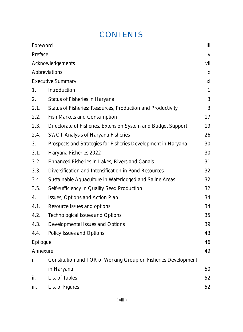### **CONTENTS**

| Foreword |                                                                | iii          |
|----------|----------------------------------------------------------------|--------------|
| Preface  |                                                                | $\mathbf{V}$ |
|          | Acknowledgements                                               | vii          |
|          | Abbreviations                                                  | ix           |
|          | <b>Executive Summary</b>                                       | xi           |
| 1.       | Introduction                                                   | $\mathbf{1}$ |
| 2.       | Status of Fisheries in Haryana                                 | 3            |
| 2.1.     | Status of Fisheries: Resources, Production and Productivity    | 3            |
| 2.2.     | <b>Fish Markets and Consumption</b>                            | 17           |
| 2.3.     | Directorate of Fisheries, Extension System and Budget Support  | 19           |
| 2.4.     | <b>SWOT Analysis of Haryana Fisheries</b>                      | 26           |
| 3.       | Prospects and Strategies for Fisheries Development in Haryana  | 30           |
| 3.1.     | Haryana Fisheries 2022                                         | 30           |
| 3.2.     | Enhanced Fisheries in Lakes, Rivers and Canals                 | 31           |
| 3.3.     | Diversification and Intensification in Pond Resources          | 32           |
| 3.4.     | Sustainable Aquaculture in Waterlogged and Saline Areas        | 32           |
| 3.5.     | Self-sufficiency in Quality Seed Production                    | 32           |
| 4.       | Issues, Options and Action Plan                                | 34           |
| 4.1.     | Resource Issues and options                                    | 34           |
| 4.2.     | <b>Technological Issues and Options</b>                        | 35           |
| 4.3.     | Developmental Issues and Options                               | 39           |
| 4.4.     | Policy Issues and Options                                      | 43           |
| Epilogue |                                                                | 46           |
| Annexure |                                                                | 49           |
| i.       | Constitution and TOR of Working Group on Fisheries Development |              |
|          | in Haryana                                                     | 50           |
| ii.      | <b>List of Tables</b>                                          | 52           |
| iii.     | <b>List of Figures</b>                                         | 52           |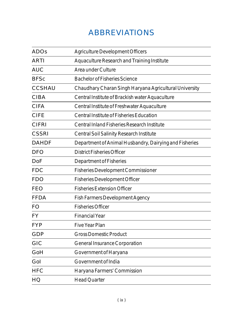### ABBREVIATIONS

| <b>ADOs</b>   | <b>Agriculture Development Officers</b>                |
|---------------|--------------------------------------------------------|
| <b>ARTI</b>   | <b>Aquaculture Research and Training Institute</b>     |
| <b>AUC</b>    | Area under Culture                                     |
| <b>BFSc</b>   | <b>Bachelor of Fisheries Science</b>                   |
| <b>CCSHAU</b> | Chaudhary Charan Singh Haryana Agricultural University |
| <b>CIBA</b>   | Central Institute of Brackish water Aquaculture        |
| <b>CIFA</b>   | Central Institute of Freshwater Aquaculture            |
| <b>CIFE</b>   | Central Institute of Fisheries Education               |
| <b>CIFRI</b>  | Central Inland Fisheries Research Institute            |
| <b>CSSRI</b>  | <b>Central Soil Salinity Research Institute</b>        |
| <b>DAHDF</b>  | Department of Animal Husbandry, Dairying and Fisheries |
| <b>DFO</b>    | <b>District Fisheries Officer</b>                      |
| DoF           | <b>Department of Fisheries</b>                         |
| <b>FDC</b>    | <b>Fisheries Development Commissioner</b>              |
| <b>FDO</b>    | <b>Fisheries Development Officer</b>                   |
| <b>FEO</b>    | <b>Fisheries Extension Officer</b>                     |
| <b>FFDA</b>   | <b>Fish Farmers Development Agency</b>                 |
| <b>FO</b>     | <b>Fisheries Officer</b>                               |
| <b>FY</b>     | <b>Financial Year</b>                                  |
| <b>FYP</b>    | <b>Five Year Plan</b>                                  |
| <b>GDP</b>    | <b>Gross Domestic Product</b>                          |
| <b>GIC</b>    | <b>General Insurance Corporation</b>                   |
| GoH           | <b>Government of Haryana</b>                           |
| GoI           | <b>Government of India</b>                             |
| <b>HFC</b>    | Haryana Farmers' Commission                            |
| HQ            | <b>Head Quarter</b>                                    |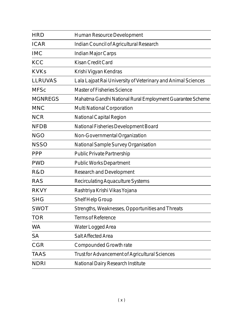| <b>HRD</b>     | Human Resource Development                                   |
|----------------|--------------------------------------------------------------|
| <b>ICAR</b>    | Indian Council of Agricultural Research                      |
| <b>IMC</b>     | <b>Indian Major Carps</b>                                    |
| <b>KCC</b>     | <b>Kisan Credit Card</b>                                     |
| <b>KVKs</b>    | Krishi Vigyan Kendras                                        |
| <b>LLRUVAS</b> | Lala Lajpat Rai University of Veterinary and Animal Sciences |
| <b>MFSc</b>    | <b>Master of Fisheries Science</b>                           |
| <b>MGNREGS</b> | Mahatma Gandhi National Rural Employment Guarantee Scheme    |
| <b>MNC</b>     | Multi National Corporation                                   |
| <b>NCR</b>     | National Capital Region                                      |
| <b>NFDB</b>    | National Fisheries Development Board                         |
| <b>NGO</b>     | Non-Governmental Organization                                |
| <b>NSSO</b>    | National Sample Survey Organisation                          |
| <b>PPP</b>     | <b>Public Private Partnership</b>                            |
| <b>PWD</b>     | <b>Public Works Department</b>                               |
| R&D            | <b>Research and Development</b>                              |
| <b>RAS</b>     | <b>Recirculating Aquaculture Systems</b>                     |
| <b>RKVY</b>    | Rashtriya Krishi Vikas Yojana                                |
| <b>SHG</b>     | Shelf Help Group                                             |
| <b>SWOT</b>    | Strengths, Weaknesses, Opportunities and Threats             |
| <b>TOR</b>     | <b>Terms of Reference</b>                                    |
| <b>WA</b>      | Water Logged Area                                            |
| <b>SA</b>      | Salt Affected Area                                           |
| CGR            | Compounded Growth rate                                       |
| <b>TAAS</b>    | Trust for Advancement of Agricultural Sciences               |
| <b>NDRI</b>    | National Dairy Research Institute                            |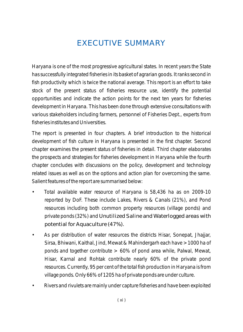### EXECUTIVE SUMMARY

Haryana is one of the most progressive agricultural states. In recent years the State has successfully integrated fisheries in its basket of agrarian goods. It ranks second in fish productivity which is twice the national average. This report is an effort to take stock of the present status of fisheries resource use, identify the potential opportunities and indicate the action points for the next ten years for fisheries development in Haryana. This has been done through extensive consultations with various stakeholders including farmers, personnel of Fisheries Dept., experts from fisheries institutes and Universities.

The report is presented in four chapters. A brief introduction to the historical development of fish culture in Haryana is presented in the first chapter. Second chapter examines the present status of fisheries in detail. Third chapter elaborates the prospects and strategies for fisheries development in Haryana while the fourth chapter concludes with discussions on the policy, development and technology related issues as well as on the options and action plan for overcoming the same. Salient features of the report are summarised below:

- Total available water resource of Haryana is 58,436 ha as on 2009-10 reported by DoF. These include Lakes, Rivers & Canals (21%), and Pond resources including both common property resources (village ponds) and private ponds (32%) and Unutilized Saline and Waterlogged areas with potential for Aquaculture (47%).
- As per distribution of water resources the districts Hisar, Sonepat, Jhajjar, Sirsa, Bhiwani, Kaithal, Jind, Mewat & Mahindergarh each have >1000 ha of ponds and together contribute > 60% of pond area while, Palwal, Mewat, Hisar, Karnal and Rohtak contribute nearly 60% of the private pond resources. Currently, 95 per cent of the total fish production in Haryana is from village ponds. Only 66% of 1205 ha of private ponds are under culture.
- Rivers and rivulets are mainly under capture fisheries and have been exploited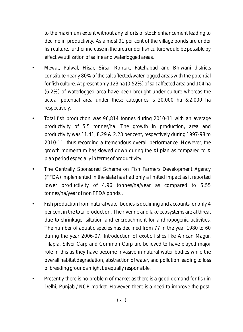to the maximum extent without any efforts of stock enhancement leading to decline in productivity. As almost 91 per cent of the village ponds are under fish culture, further increase in the area under fish culture would be possible by effective utilization of saline and waterlogged areas.

- Mewat, Palwal, Hisar, Sirsa, Rohtak, Fatehabad and Bhiwani districts constitute nearly 80% of the salt affected/water logged areas with the potential for fish culture. At present only 123 ha (0.52%) of salt affected area and 104 ha (6.2%) of waterlogged area have been brought under culture whereas the actual potential area under these categories is 20,000 ha &2,000 ha respectively.
- Total fish production was 96,814 tonnes during 2010-11 with an average productivity of 5.5 tonnes/ha. The growth in production, area and productivity was 11.41, 8.29 & 2.23 per cent, respectively during 1997-98 to 2010-11, thus recording a tremendous overall performance. However, the growth momentum has slowed down during the XI plan as compared to X plan period especially in terms of productivity.
- The Centrally Sponsored Scheme on Fish Farmers Development Agency (FFDA) implemented in the state has had only a limited impact as it reported lower productivity of 4.96 tonnes/ha/year as compared to 5.55 tonnes/ha/year of non FFDA ponds..
- Fish production from natural water bodies is declining and accounts for only 4 per cent in the total production. The riverine and lake ecosystems are at threat due to shrinkage, siltation and encroachment for anthropogenic activities. The number of aquatic species has declined from 77 in the year 1980 to 60 during the year 2006-07. Introduction of exotic fishes like African Magur, Tilapia, Silver Carp and Common Carp are believed to have played major role in this as they have become invasive in natural water bodies while the overall habitat degradation, abstraction of water, and pollution leading to loss of breeding grounds might be equally responsible.
- Presently there is no problem of market as there is a good demand for fish in Delhi, Punjab / NCR market. However, there is a need to improve the post-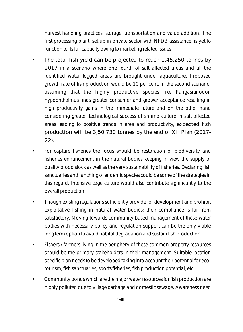harvest handling practices, storage, transportation and value addition. The first processing plant, set up in private sector with NFDB assistance, is yet to function to its full capacity owing to marketing related issues.

- The total fish yield can be projected to reach 1,45,250 tonnes by 2017 in a scenario where one fourth of salt affected areas and all the identified water logged areas are brought under aquaculture. Proposed growth rate of fish production would be 10 per cent. In the second scenario, assuming that the highly productive species like *Pangasianodon hypophthalmus* finds greater consumer and grower acceptance resulting in high productivity gains in the immediate future and on the other hand considering greater technological success of shrimp culture in salt affected areas leading to positive trends in area and productivity, expected fish production will be 3,50,730 tonnes by the end of XII Plan (2017- 22).
- For capture fisheries the focus should be restoration of biodiversity and fisheries enhancement in the natural bodies keeping in view the supply of quality brood stock as well as the very sustainability of fisheries. Declaring fish sanctuaries and ranching of endemic species could be some of the strategies in this regard. Intensive cage culture would also contribute significantly to the overall production.
- Though existing regulations sufficiently provide for development and prohibit exploitative fishing in natural water bodies; their compliance is far from satisfactory. Moving towards community based management of these water bodies with necessary policy and regulation support can be the only viable long term option to avoid habitat degradation and sustain fish production.
- Fishers / farmers living in the periphery of these common property resources should be the primary stakeholders in their management. Suitable location specific plan needs to be developed taking into account their potential for ecotourism, fish sanctuaries, sports fisheries, fish production potential, etc.
- Community ponds which are the major water resources for fish production are highly polluted due to village garbage and domestic sewage. Awareness need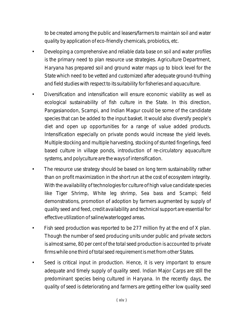to be created among the public and leasers/farmers to maintain soil and water quality by application of eco-friendly chemicals, probiotics, etc.

- Developing a comprehensive and reliable data base on soil and water profiles is the primary need to plan resource use strategies. Agriculture Department, Haryana has prepared soil and ground water maps up to block level for the State which need to be vetted and customized after adequate ground-truthing and field studies with respect to its suitability for fisheries and aquaculture.
- Diversification and intensification will ensure economic viability as well as ecological sustainability of fish culture in the State. In this direction, Pangasianodon, Scampi, and Indian Magur could be some of the candidate species that can be added to the input basket. It would also diversify people's diet and open up opportunities for a range of value added products. Intensification especially on private ponds would increase the yield levels. Multiple stocking and multiple harvesting, stocking of stunted fingerlings, feed based culture in village ponds, introduction of re-circulatory aquaculture systems, and polyculture are the ways of intensification.
- The resource use strategy should be based on long term sustainability rather than on profit maximization in the short run at the cost of ecosystem integrity. With the availability of technologies for culture of high value candidate species like Tiger Shrimp, White leg shrimp, Sea bass and Scampi; field demonstrations, promotion of adoption by farmers augmented by supply of quality seed and feed, credit availability and technical support are essential for effective utilization of saline/waterlogged areas.
- Fish seed production was reported to be 277 million fry at the end of X plan. Though the number of seed producing units under public and private sectors is almost same, 80 per cent of the total seed production is accounted to private firms while one third of total seed requirement is met from other States.
- Seed is critical input in production. Hence, it is very important to ensure adequate and timely supply of quality seed. Indian Major Carps are still the predominant species being cultured in Haryana. In the recently days, the quality of seed is deteriorating and farmers are getting either low quality seed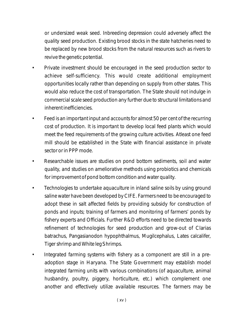or undersized weak seed. Inbreeding depression could adversely affect the quality seed production. Existing brood stocks in the state hatcheries need to be replaced by new brood stocks from the natural resources such as rivers to revive the genetic potential.

- Private investment should be encouraged in the seed production sector to achieve self-sufficiency. This would create additional employment opportunities locally rather than depending on supply from other states. This would also reduce the cost of transportation. The State should not indulge in commercial scale seed production any further due to structural limitations and inherent inefficiencies.
- Feed is an important input and accounts for almost 50 per cent of the recurring cost of production. It is important to develop local feed plants which would meet the feed requirements of the growing culture activities. Atleast one feed mill should be established in the State with financial assistance in private sector or in PPP mode.
- Researchable issues are studies on pond bottom sediments, soil and water quality, and studies on ameliorative methods using probiotics and chemicals for improvement of pond bottom condition and water quality.
- Technologies to undertake aquaculture in inland saline soils by using ground saline water have been developed by CIFE. Farmers need to be encouraged to adopt these in salt affected fields by providing subsidy for construction of ponds and inputs; training of farmers and monitoring of farmers' ponds by fishery experts and Officials. Further R&D efforts need to be directed towards refinement of technologies for seed production and grow-out of *Clarias batrachus, Pangasianodon hypophthalmus, Mugilcephalus, Lates calcalifer, Tiger shrimp and White leg Shrimps.*
- Integrated farming systems with fishery as a component are still in a preadoption stage in Haryana. The State Government may establish model integrated farming units with various combinations (of aquaculture, animal husbandry, poultry, piggery, horticulture, etc.) which complement one another and effectively utilize available resources. The farmers may be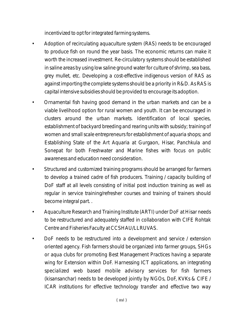incentivized to opt for integrated farming systems.

- Adoption of recirculating aquaculture system (RAS) needs to be encouraged to produce fish on round the year basis. The economic returns can make it worth the increased investment. Re-circulatory systems should be established in saline areas by using low saline ground water for culture of shrimp, sea bass, grey mullet, etc. Developing a cost-effective indigenous version of RAS as against importing the complete systems should be a priority in R&D. As RAS is capital intensive subsidies should be provided to encourage its adoption.
- Ornamental fish having good demand in the urban markets and can be a viable livelihood option for rural women and youth. It can be encouraged in clusters around the urban markets. Identification of local species, establishment of backyard breeding and rearing units with subsidy; training of women and small scale entrepreneurs for establishment of aquaria shops; and Establishing State of the Art Aquaria at Gurgaon, Hisar, Panchkula and Sonepat for both Freshwater and Marine fishes with focus on public awareness and education need consideration.
- Structured and customized training programs should be arranged for farmers to develop a trained cadre of fish producers. Training / capacity building of DoF staff at all levels consisting of initial post induction training as well as regular in service training/refresher courses and training of trainers should become integral part. .
- Aquaculture Research and Training Institute (ARTI) under DoF at Hisar needs to be restructured and adequately staffed in collaboration with CIFE Rohtak Centre and Fisheries Faculty at CCSHAU/LLRUVAS.
- DoF needs to be restructured into a development and service / extension oriented agency. Fish farmers should be organized into farmer groups, SHGs or aqua clubs for promoting Best Management Practices having a separate wing for Extension within DoF. Harnessing ICT applications, an integrating specialized web based mobile advisory services for fish farmers (kisansanchar) needs to be developed jointly by NGOs, DoF, KVKs & CIFE / ICAR institutions for effective technology transfer and effective two way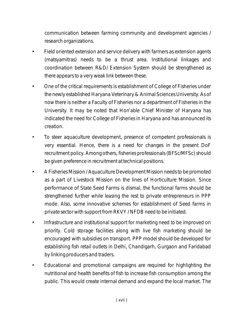communication between farming community and development agencies / research organizations.

- Field oriented extension and service delivery with farmers as extension agents *(matsyamitras)* needs to be a thrust area. Institutional linkages and coordination between R&D/ Extension System should be strengthened as there appears to a very weak link between these.
- One of the critical requirements is establishment of College of Fisheries under the newly established Haryana Veterinary & Animal Sciences University. As of now there is neither a Faculty of Fisheries nor a department of Fisheries in the University. It may be noted that Hon'able Chief Minister of Haryana has indicated the need for College of Fisheries in Haryana and has announced its creation.
- To steer aquaculture development, presence of competent professionals is very essential. Hence, there is a need for changes in the present DoF recruitment policy. Among others, fisheries professionals (BFSc/MFSc) should be given preference in recruitment at technical positions.
- A Fisheries Mission / Aquaculture Development Mission needs to be promoted as a part of Livestock Mission on the lines of Horticulture Mission. Since performance of State Seed Farms is dismal, the functional farms should be strengthened further while leasing the rest to private entrepreneurs in PPP mode. Also, some innovative schemes for establishment of Seed farms in private sector with support from RKVY / NFDB need to be initiated.
- Infrastructure and institutional support for marketing need to be improved on priority. Cold storage facilities along with live fish marketing should be encouraged with subsidies on transport. PPP model should be developed for establishing fish retail outlets in Delhi, Chandigarh, Gurgaon and Faridabad by linking producers and traders.
- Educational and promotional campaigns are required for highlighting the nutritional and health benefits of fish to increase fish consumption among the public. This would create internal demand and expand the local market. The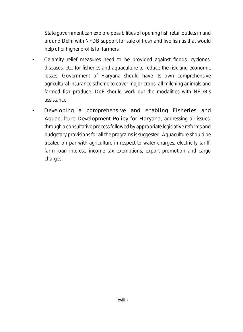State government can explore possibilities of opening fish retail outlets in and around Delhi with NFDB support for sale of fresh and live fish as that would help offer higher profits for farmers.

- Calamity relief measures need to be provided against floods, cyclones, diseases, etc. for fisheries and aquaculture to reduce the risk and economic losses. Government of Haryana should have its own comprehensive agricultural insurance scheme to cover major crops, all milching animals and farmed fish produce. DoF should work out the modalities with NFDB's assistance.
- Developing a comprehensive and enabling Fisheries and Aquaculture Development Policy for Haryana, addressing all issues, through a consultative process followed by appropriate legislative reforms and budgetary provisions for all the programs is suggested. Aquaculture should be treated on par with agriculture in respect to water charges, electricity tariff, farm loan interest, income tax exemptions, export promotion and cargo charges.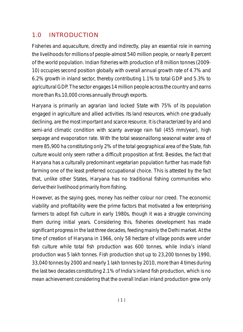### 1.0 INTRODUCTION

Fisheries and aquaculture, directly and indirectly, play an essential role in earning the livelihoods for millions of people-almost 540 million people, or nearly 8 percent of the world population. Indian fisheries with production of 8 million tonnes (2009- 10) occupies second position globally with overall annual growth rate of 4.7% and 6.2% growth in inland sector, thereby contributing 1.1% to total GDP and 5.3% to agricultural GDP. The sector engages 14 million people across the country and earns more than Rs.10,000 crores annually through exports.

Haryana is primarily an agrarian land locked State with 75% of its population engaged in agriculture and allied activities. Its land resources, which one gradually declining, are the most important and scarce resource. It is characterized by arid and semi-arid climatic condition with scanty average rain fall (455 mm/year), high seepage and evaporation rate. With the total seasonal/long seasonal water area of mere 85,900 ha constituting only 2% of the total geographical area of the State, fish culture would only seem rather a difficult proposition at first. Besides, the fact that Haryana has a culturally predominant vegetarian population further has made fish farming one of the least preferred occupational choice. This is attested by the fact that, unlike other States, Haryana has no traditional fishing communities who derive their livelihood primarily from fishing.

However, as the saying goes, money has neither colour nor creed. The economic viability and profitability were the prime factors that motivated a few enterprising farmers to adopt fish culture in early 1980s, though it was a struggle convincing them during initial years. Considering this, fisheries development has made significant progress in the last three decades, feeding mainly the Delhi market. At the time of creation of Haryana in 1966, only 58 hectare of village ponds were under fish culture while total fish production was 600 tonnes, while India's inland production was 5 lakh tonnes. Fish production shot up to 23,200 tonnes by 1990, 33,040 tonnes by 2000 and nearly 1 lakh tonnes by 2010, more than 4 times during the last two decades constituting 2.1% of India's inland fish production, which is no mean achievement considering that the overall Indian inland production grew only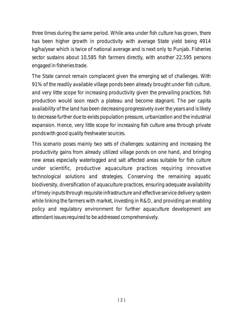three times during the same period. While area under fish culture has grown, there has been higher growth in productivity with average State yield being 4914 kg/ha/year which is twice of national average and is next only to Punjab. Fisheries sector sustains about 10,585 fish farmers directly, with another 22,595 persons engaged in fisheries trade.

The State cannot remain complacent given the emerging set of challenges. With 91% of the readily available village ponds been already brought under fish culture, and very little scope for increasing productivity given the prevailing practices, fish production would soon reach a plateau and become stagnant. The per capita availability of the land has been decreasing progressively over the years and is likely to decrease further due to exists population pressure, urbanization and the industrial expansion. Hence, very little scope for increasing fish culture area through private ponds with good quality freshwater sources.

This scenario poses mainly two sets of challenges: sustaining and increasing the productivity gains from already utilized village ponds on one hand, and bringing new areas especially waterlogged and salt affected areas suitable for fish culture under scientific, productive aquaculture practices requiring innovative technological solutions and strategies. Conserving the remaining aquatic biodiversity, diversification of aquaculture practices, ensuring adequate availability of timely inputs through requisite infrastructure and effective service delivery system while linking the farmers with market, investing in R&D, and providing an enabling policy and regulatory environment for further aquaculture development are attendant issues required to be addressed comprehensively.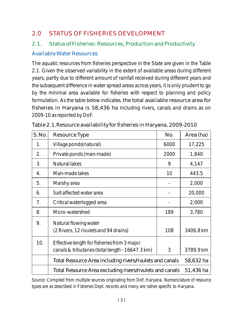### 2.0 STATUS OF FISHERIES DEVELOPMENT

### 2.1. Status of Fisheries: Resources, Production and Productivity

#### Available Water Resources

The aquatic resources from fisheries perspective in the State are given in the Table 2.1. Given the observed variability in the extent of available areas during different years, partly due to different amount of rainfall received during different years and the subsequent difference in water spread areas across years, it is only prudent to go by the minimal area available for fisheries with respect to planning and policy formulation. As the table below indicates, the total available resource area for fisheries in Haryana is 58,436 ha including rivers, canals and drains as on 2009-10 as reported by DoF.

| S.No. | Resource Type                                                                                   | No.       | Area (ha) |
|-------|-------------------------------------------------------------------------------------------------|-----------|-----------|
| 1.    | Village ponds (natural)                                                                         | 6000      | 17,225    |
| 2.    | Private ponds (man-made)                                                                        | 2000      | 1,840     |
| 3.    | Natural lakes                                                                                   | 9         | 4,147     |
| 4.    | Man-made lakes                                                                                  | 10        | 443.5     |
| 5.    | Marshy area                                                                                     |           | 2,000     |
| 6.    | Salt affected water area                                                                        |           | 20,000    |
| 7.    | Critical waterlogged area                                                                       |           | 2,000     |
| 8.    | Micro-watershed                                                                                 | 189       | 3,780     |
| 9.    | Natural flowing water<br>(2 Rivers, 12 rivulets and 94 drains)                                  | 108       | 3406.8 km |
| 10.   | Effective length for fisheries from 3 major<br>canals & tributaries (total length - 16647.3 km) | 3         | 3789.9 km |
|       | Total Resource Area including rivers/rivulets and canals                                        | 58,632 ha |           |
|       | Total Resource Area excluding rivers/rivulets and canals                                        | 51,436 ha |           |

|  | Table 2.1. Resource availability for fisheries in Haryana, 2009-2010 |  |
|--|----------------------------------------------------------------------|--|
|  |                                                                      |  |

Source: Compiled from multiple sources originating from DoF, Haryana. Nomenclature of resource types are as described in Fisheries Dept. records and many are rather specific to Haryana.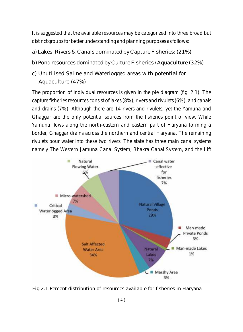It is suggested that the available resources may be categorized into three broad but distinct groups for better understanding and planning purposes as follows:

- a) Lakes, Rivers & Canals dominated by Capture Fisheries: (21%)
- b) Pond resources dominated by Culture Fisheries / Aquaculture (32%)
- c) Unutilised Saline and Waterlogged areas with potential for Aquaculture (47%)

The proportion of individual resources is given in the pie diagram (fig. 2.1). The capture fisheries resources consist of lakes (8%), rivers and rivulets (6%), and canals and drains (7%). Although there are 14 rivers and rivulets, yet the Yamuna and Ghaggar are the only potential sources from the fisheries point of view. While Yamuna flows along the north-eastern and eastern part of Haryana forming a border, Ghaggar drains across the northern and central Haryana. The remaining rivulets pour water into these two rivers. The state has three main canal systems namely The Western Jamuna Canal System, Bhakra Canal System, and the Lift



Fig 2.1.Percent distribution of resources available for fisheries in Haryana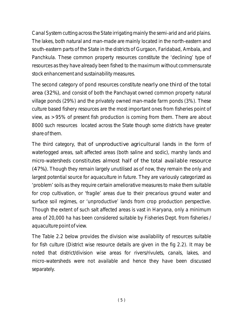Canal System cutting across the State irrigating mainly the semi-arid and arid plains. The lakes, both natural and man-made are mainly located in the north-eastern and south-eastern parts of the State in the districts of Gurgaon, Faridabad, Ambala, and Panchkula. These common property resources constitute the 'declining' type of resources as they have already been fished to the maximum without commensurate stock enhancement and sustainability measures.

The second category of pond resources constitute nearly one third of the total area (32%), and consist of both the Panchayat owned common property natural village ponds (29%) and the privately owned man-made farm ponds (3%). These culture based fishery resources are the most important ones from fisheries point of view, as >95% of present fish production is coming from them. There are about 8000 such resources located across the State though some districts have greater share of them.

The third category, that of unproductive agricultural lands in the form of waterlogged areas, salt affected areas (both saline and sodic), marshy lands and micro-watersheds constitutes almost half of the total available resource (47%). Though they remain largely unutilised as of now, they remain the only and largest potential source for aquaculture in future. They are variously categorized as 'problem' soils as they require certain ameliorative measures to make them suitable for crop cultivation, or 'fragile' areas due to their precarious ground water and surface soil regimes, or 'unproductive' lands from crop production perspective. Though the extent of such salt affected areas is vast in Haryana, only a minimum area of 20,000 ha has been considered suitable by Fisheries Dept. from fisheries / aquaculture point of view.

The Table 2.2 below provides the division wise availability of resources suitable for fish culture (District wise resource details are given in the fig 2.2). It may be noted that district/division wise areas for rivers/rivulets, canals, lakes, and micro-watersheds were not available and hence they have been discussed separately.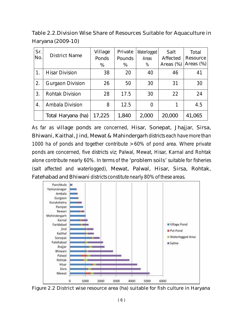Table 2.2.Division Wise Share of Resources Suitable for Aquaculture in Haryana (2009-10)

| Sr.<br>No. | <b>District Name</b>    | Village<br>Ponds<br>$\%$ | Private<br>Pounds<br>$\%$ | Waterlogged<br>Areas<br>$\%$ | Salt<br>Affected<br>Areas $(\%)$ | Total<br>Resource<br>Areas $(\%)$ |
|------------|-------------------------|--------------------------|---------------------------|------------------------------|----------------------------------|-----------------------------------|
| 1.         | <b>Hisar Division</b>   | 38                       | 20                        | 40                           | 46                               | 41                                |
| 2.         | <b>Gurgaon Division</b> | 26                       | 50                        | 30                           | 31                               | 30                                |
| 3.         | <b>Rohtak Division</b>  | 28                       | 17.5                      | 30                           | 22                               | 24                                |
| 4.         | Ambala Division         | 8                        | 12.5                      |                              |                                  | 4.5                               |
|            | Total Haryana (ha)      | 17,225                   | 1,840                     | 2,000                        | 20,000                           | 41,065                            |

As far as village ponds are concerned, Hisar, Sonepat, Jhajjar, Sirsa, Bhiwani, Kaithal, Jind, Mewat & Mahindergarh districts each have more than 1000 ha of ponds and together contribute >60% of pond area. Where private ponds are concerned, five districts viz; Palwal, Mewat, Hisar, Karnal and Rohtak alone contribute nearly 60%. In terms of the 'problem soils' suitable for fisheries (salt affected and waterlogged), Mewat, Palwal, Hisar, Sirsa, Rohtak, Fatehabad and Bhiwani districts constitute nearly 80% of these areas.



Figure 2.2 District wise resource area (ha) suitable for fish culture in Haryana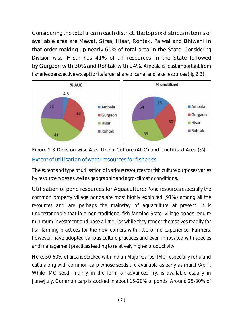Considering the total area in each district, the top six districts in terms of available area are Mewat, Sirsa, Hisar, Rohtak, Palwal and Bhiwani in that order making up nearly 60% of total area in the State. Considering Division wise, Hisar has 41% of all resources in the State followed by Gurgaon with 30% and Rohtak with 24%. Ambala is least important from fisheries perspective except for its larger share of canal and lake resources (fig 2.3).



Extent of utilisation of water resources for fisheries Figure 2.3 Division wise Area Under Culture (AUC) and Unutilised Area (%)

The extent and type of utilisation of various resources for fish culture purposes varies by resource types as well as geographic and agro-climatic conditions.

Utilisation of pond resources for Aquaculture: Pond resources especially the common property village ponds are most highly exploited (91%) among all the resources and are perhaps the mainstay of aquaculture at present. It is understandable that in a non-traditional fish farming State, village ponds require minimum investment and pose a little risk while they render themselves readily for fish farming practices for the new comers with little or no experience. Farmers, however, have adopted various culture practices and even innovated with species and management practices leading to relatively higher productivity.

Here, 50-60% of area is stocked with Indian Major Carps (IMC) especially rohu and catla along with common carp whose seeds are available as early as march/April. While IMC seed, mainly in the form of advanced fry, is available usually in June/July. Common carp is stocked in about 15-20% of ponds. Around 25-30% of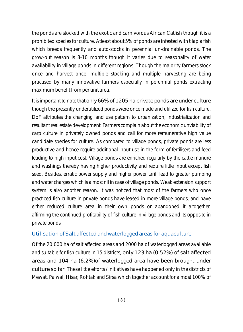the ponds are stocked with the exotic and carnivorous African Catfish though it is a prohibited species for culture. Atleast about 5% of ponds are infested with tilapia fish which breeds frequently and auto-stocks in perennial un-drainable ponds. The grow-out season is 8-10 months though it varies due to seasonality of water availability in village ponds in different regions. Though the majority farmers stock once and harvest once, multiple stocking and multiple harvesting are being practised by many innovative farmers especially in perennial ponds extracting maximum benefit from per unit area.

It is important to note that only 66% of 1205 ha private ponds are under culture though the presently underutilized ponds were once made and utilized for fish culture. DoF attributes the changing land use pattern to urbanization, industrialization and resultant real estate development. Farmers complain about the economic unviability of carp culture in privately owned ponds and call for more remunerative high value candidate species for culture. As compared to village ponds, private ponds are less productive and hence require additional input use in the form of fertilisers and feed leading to high input cost. Village ponds are enriched regularly by the cattle manure and washings thereby having higher productivity and require little input except fish seed. Besides, erratic power supply and higher power tariff lead to greater pumping and water charges which is almost nil in case of village ponds. Weak extension support system is also another reason. It was noticed that most of the farmers who once practiced fish culture in private ponds have leased in more village ponds, and have either reduced culture area in their own ponds or abandoned it altogether, affirming the continued profitability of fish culture in village ponds and its opposite in private ponds.

#### Utilisation of Salt affected and waterlogged areas for aquaculture

Of the 20,000 ha of salt affected areas and 2000 ha of waterlogged areas available and suitable for fish culture in 15 districts, only 123 ha (0.52%) of salt affected areas and 104 ha (6.2%)of waterlogged area have been brought under culture so far. These little efforts / initiatives have happened only in the districts of Mewat, Palwal, Hisar, Rohtak and Sirsa which together account for almost 100% of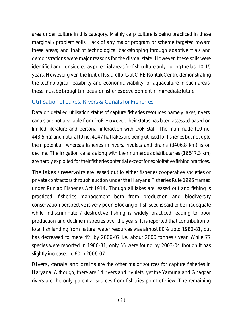area under culture in this category. Mainly carp culture is being practiced in these marginal / problem soils. Lack of any major program or scheme targeted toward these areas; and that of technological backstopping through adaptive trials and demonstrations were major reasons for the dismal state. However, these soils were identified and considered as potential areas for fish culture only during the last 10-15 years. However given the fruitful R&D efforts at CIFE Rohtak Centre demonstrating the technological feasibility and economic viability for aquaculture in such areas, these must be brought in focus for fisheries development in immediate future.

#### Utilisation of Lakes, Rivers & Canals for Fisheries

Data on detailed utilisation status of capture fisheries resources namely lakes, rivers, canals are not available from DoF. However, their status has been assessed based on limited literature and personal interaction with DoF staff. The man-made (10 no. 443.5 ha) and natural (9 no. 4147 ha) lakes are being utilised for fisheries but not upto their potential, whereas fisheries in rivers, rivulets and drains (3406.8 km) is on decline. The irrigation canals along with their numerous distributaries (16647.3 km) are hardly exploited for their fisheries potential except for exploitative fishing practices.

The lakes / reservoirs are leased out to either fisheries cooperative societies or private contractors through auction under the Haryana Fisheries Rule 1996 framed under Punjab Fisheries Act 1914. Though all lakes are leased out and fishing is practiced, fisheries management both from production and biodiversity conservation perspective is very poor. Stocking of fish seed is said to be inadequate while indiscriminate / destructive fishing is widely practiced leading to poor production and decline in species over the years. It is reported that contribution of total fish landing from natural water resources was almost 80% upto 1980-81, but has decreased to mere 4% by 2006-07 i.e. about 2000 tonnes / year. While 77 species were reported in 1980-81, only 55 were found by 2003-04 though it has slightly increased to 60 in 2006-07.

Rivers, canals and drains are the other major sources for capture fisheries in Haryana. Although, there are 14 rivers and rivulets, yet the Yamuna and Ghaggar rivers are the only potential sources from fisheries point of view. The remaining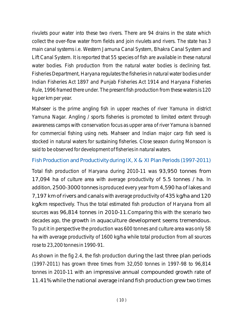rivulets pour water into these two rivers. There are 94 drains in the state which collect the over-flow water from fields and join rivulets and rivers. The state has 3 main canal systems i.e. Western Jamuna Canal System, Bhakra Canal System and Lift Canal System. It is reported that 55 species of fish are available in these natural water bodies. Fish production from the natural water bodies is declining fast. Fisheries Department, Haryana regulates the fisheries in natural water bodies under Indian Fisheries Act 1897 and Punjab Fisheries Act 1914 and Haryana Fisheries Rule, 1996 framed there under. The present fish production from these waters is 120 kg per km per year.

Mahseer is the prime angling fish in upper reaches of river Yamuna in district Yamuna Nagar. Angling / sports fisheries is promoted to limited extent through awareness camps with conservation focus as upper area of river Yamuna is banned for commercial fishing using nets. Mahseer and Indian major carp fish seed is stocked in natural waters for sustaining fisheries. Close season during Monsoon is said to be observed for development of fisheries in natural waters.

#### Fish Production and Productivity during IX, X & XI Plan Periods (1997-2011)

Total fish production of Haryana during 2010-11 was 93,950 tonnes from 17,094 ha of culture area with average productivity of 5.5 tonnes / ha. In addition, 2500-3000 tonnes is produced every year from 4,590 ha of lakes and 7,197 km of rivers and canals with average productivity of 435 kg/ha and 120 kg/km respectively. Thus the total estimated fish production of Haryana from all sources was 96,814 tonnes in 2010-11.Comparing this with the scenario two decades ago, the growth in aquaculture development seems tremendous. To put it in perspective the production was 600 tonnes and culture area was only 58 ha with average productivity of 1600 kg/ha while total production from all sources rose to 23,200 tonnes in 1990-91.

As shown in the fig 2.4, the fish production during the last three plan periods (1997-2011) has grown three times from 32,050 tonnes in 1997-98 to 96,814 tonnes in 2010-11 with an impressive annual compounded growth rate of 11.41% while the national average inland fish production grew two times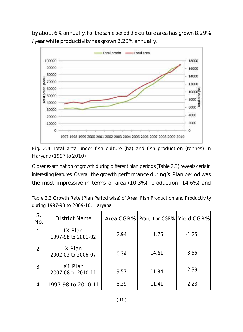by about 6% annually. For the same period the culture area has grown 8.29% / year while productivity has grown 2.23% annually.



Fig. 2.4 Total area under fish culture (ha) and fish production (tonnes) in Haryana (1997 to 2010)

Closer examination of growth during different plan periods (Table 2.3) reveals certain interesting features. Overall the growth performance during X Plan period was the most impressive in terms of area (10.3%), production (14.6%) and

Table 2.3 Growth Rate (Plan Period wise) of Area, Fish Production and Productivity during 1997-98 to 2009-10, Haryana

| S.<br>No. | <b>District Name</b>          |       | Area CGR%   Production CGR%   Yield CGR% |         |
|-----------|-------------------------------|-------|------------------------------------------|---------|
| 1.        | IX Plan<br>1997-98 to 2001-02 | 2.94  | 1.75                                     | $-1.25$ |
| 2.        | X Plan<br>2002-03 to 2006-07  | 10.34 | 14.61                                    | 3.55    |
| 3.        | X1 Plan<br>2007-08 to 2010-11 | 9.57  | 11.84                                    | 2.39    |
|           | 1997-98 to 2010-11            | 8.29  | 11.41                                    | 2.23    |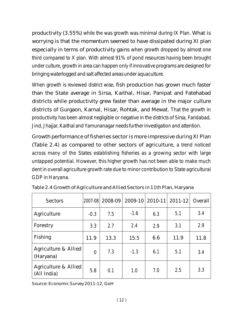productivity (3.55%) while the was growth was minimal during IX Plan. What is worrying is that the momentum seemed to have dissipated during XI plan especially in terms of productivity gains when growth dropped by almost one third compared to X plan. With almost 91% of pond resources having been brought under culture, growth in area can happen only if innovative programs are designed for bringing waterlogged and salt affected areas under aquaculture.

When growth is reviewed district wise, fish production has grown much faster than the State average in Sirsa, Kaithal, Hisar, Panipat and Fatehabad districts while productivity grew faster than average in the major culture districts of Gurgaon, Karnal, Hisar, Rohtak, and Mewat. That the growth in productivity has been almost negligible or negative in the districts of Sirsa, Faridabad, Jind, Jhajjar, Kaithal and Yamunanagar needs further investigation and attention.

Growth performance of fisheries sector is more impressive during XI Plan (Table 2.4) as compared to other sectors of agriculture, a trend noticed across many of the States establishing fisheries as a growing sector with large untapped potential. However, this higher growth has not been able to make much dent in overall agriculture growth rate due to minor contribution to State agricultural GDP in Haryana.

| <b>Sectors</b>                      | 2007-08          | $2008 - 09$ |        |     | 2009-10 2010-11 2011-12 | Overall |
|-------------------------------------|------------------|-------------|--------|-----|-------------------------|---------|
| Agriculture                         | $-0.3$           | 7.5         | $-1.6$ | 6.3 | 5.1                     | 3.4     |
| Forestry                            | 3.3              | 2.7         | 2.4    | 2.9 | 3.1                     | 2.9     |
| Fishing                             | 11.9             | 13.3        | 15.5   | 6.6 | 11.9                    | 11.8    |
| Agriculture & Allied<br>(Haryana)   | $\boldsymbol{0}$ | 7.3         | $-1.3$ | 6.1 | 5.1                     | 3.4     |
| Agriculture & Allied<br>(All India) | 5.8              | 0.1         | 1.0    | 7.0 | 2.5                     | 3.3     |

Table 2.4 Growth of Agriculture and Allied Sectors in 11th Plan, Haryana

Source: Economic Survey 2011-12, GoH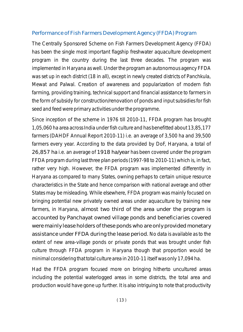#### Performance of Fish Farmers Development Agency (FFDA) Program

The Centrally Sponsored Scheme on Fish Farmers Development Agency (FFDA) has been the single most important flagship freshwater aquaculture development program in the country during the last three decades. The program was implemented in Haryana as well. Under the program an autonomous agency FFDA was set up in each district (18 in all), except in newly created districts of Panchkula, Mewat and Palwal. Creation of awareness and popularization of modern fish farming, providing training, technical support and financial assistance to farmers in the form of subsidy for construction/renovation of ponds and input subsidies for fish seed and feed were primary activities under the programme.

Since inception of the scheme in 1976 till 2010-11, FFDA program has brought 1,05,060 ha area across India under fish culture and has benefitted about 13,85,177 farmers (DAHDF Annual Report 2010-11) i.e. an average of 3,500 ha and 39,500 farmers every year. According to the data provided by DoF, Haryana, a total of 26,857 ha i.e. an average of 1918 ha/year has been covered under the program FFDA program during last three plan periods (1997-98 to 2010-11) which is, in fact, rather very high. However, the FFDA program was implemented differently in Haryana as compared to many States, owning perhaps to certain unique resource characteristics in the State and hence comparison with national average and other States may be misleading. While elsewhere, FFDA program was mainly focused on bringing potential new privately owned areas under aquaculture by training new farmers, in Haryana, almost two third of the area under the program is accounted by Panchayat owned village ponds and beneficiaries covered were mainly lease holders of these ponds who are only provided monetary assistance under FFDA during the lease period. No data is available as to the extent of new area-village ponds or private ponds that was brought under fish culture through FFDA program in Haryana though that proportion would be minimal considering that total culture area in 2010-11 itself was only 17,094 ha.

Had the FFDA program focused more on bringing hitherto uncultured areas including the potential waterlogged areas in some districts, the total area and production would have gone up further. It is also intriguing to note that productivity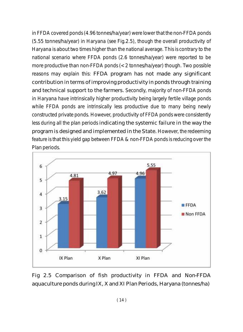in FFDA covered ponds (4.96 tonnes/ha/year) were lower that the non-FFDA ponds (5.55 tonnes/ha/year) in Haryana (see Fig.2.5), though the overall productivity of Haryana is about two times higher than the national average. This is contrary to the national scenario where FFDA ponds (2.6 tonnes/ha/year) were reported to be more productive than non-FFDA ponds (<2 tonnes/ha/year) though. Two possible reasons may explain this: FFDA program has not made any significant contribution in terms of improving productivity in ponds through training and technical support to the farmers. Secondly, majority of non-FFDA ponds in Haryana have intrinsically higher productivity being largely fertile village ponds while FFDA ponds are intrinsically less productive due to many being newly constructed private ponds. However, productivity of FFDA ponds were consistently less during all the plan periods indicating the systemic failure in the way the program is designed and implemented in the State. However, the redeeming feature is that this yield gap between FFDA & non-FFDA ponds is reducing over the Plan periods.



Fig 2.5 Comparison of fish productivity in FFDA and Non-FFDA aquaculture ponds during IX, X and XI Plan Periods, Haryana (tonnes/ha)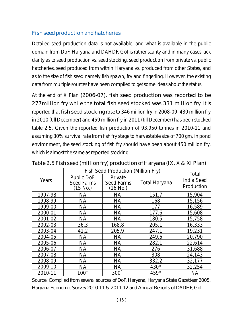#### Fish seed production and hatcheries

Detailed seed production data is not available, and what is available in the public domain from DoF, Haryana and DAHDF, GoI is rather scanty and in many cases lack clarity as to seed production vs. seed stocking, seed production from private vs. public hatcheries, seed produced from within Haryana vs. produced from other States, and as to the size of fish seed namely fish spawn, fry and fingerling. However, the existing data from multiple sources have been compiled to get some ideas about the status.

At the end of X Plan (2006-07), fish seed production was reported to be 277million fry while the total fish seed stocked was 331 million fry. It is reported that fish seed stocking rose to 346 million fry in 2008-09, 430 million fry in 2010 (till December) and 459 million fry in 2011 (till December) has been stocked table 2.5. Given the reported fish production of 93,950 tonnes in 2010-11 and assuming 30% survival rate from fish fry stage to harvestable size of 700 gm. in pond environment, the seed stocking of fish fry should have been about 450 million fry, which is almost the same as reported stocking.

|         | <b>Fish Sedd Production (Million Fry)</b>          | <b>Total</b>                             |                      |                                 |
|---------|----------------------------------------------------|------------------------------------------|----------------------|---------------------------------|
| Years   | <b>Public DoF</b><br><b>Seed Farms</b><br>(15 No.) | Private<br><b>Seed Farms</b><br>(16 No.) | <b>Total Haryana</b> | <b>India Seed</b><br>Production |
| 1997-98 | NA                                                 | NA                                       | 151.7                | 15,904                          |
| 1998-99 | NA                                                 | <b>NA</b>                                | 168                  | 15,156                          |
| 1999-00 | NA                                                 | <b>NA</b>                                | 177                  | 16,589                          |
| 2000-01 | <b>NA</b>                                          | <b>NA</b>                                | 177.6                | 15,608                          |
| 2001-02 | <b>NA</b>                                          | <b>NA</b>                                | 180.5                | 15,758                          |
| 2002-03 | 36.3                                               | 168.8                                    | 205.1                | 16,333                          |
| 2003-04 | 41.2                                               | 205.9                                    | 247.1                | 19,231                          |
| 2004-05 | <b>NA</b>                                          | <b>NA</b>                                | 249.6                | 20,790                          |
| 2005-06 | <b>NA</b>                                          | <b>NA</b>                                | 282.1                | 22,614                          |
| 2006-07 | <b>NA</b>                                          | <b>NA</b>                                | 276                  | 31,688                          |
| 2007-08 | <b>NA</b>                                          | <b>NA</b>                                | 308                  | 24,143                          |
| 2008-09 | NA                                                 | NA                                       | 332.2                | 32,177                          |
| 2009-10 | <b>NA</b>                                          | <b>NA</b>                                | 430*                 | 32,254                          |
| 2010-11 | $100^$                                             | $300^{\circ}$                            | 459*                 | NA                              |

Table 2.5 Fish seed (million fry) production of Haryana (IX, X & XI Plan)

Source: Compiled from several sources of DoF, Haryana, Haryana State Gazetteer 2005, Haryana Economic Survey 2010-11 & 2011-12 and Annual Reports of DADHF, GoI.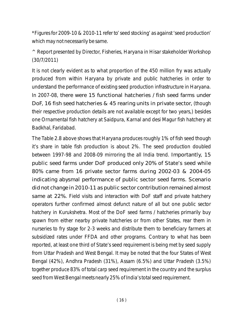\*Figures for 2009-10 & 2010-11 refer to' seed stocking' as against 'seed production' which may not necessarily be same.

 $\wedge$  Report presented by Director, Fisheries, Haryana in Hisar stakeholder Workshop (30/7/2011)

It is not clearly evident as to what proportion of the 450 million fry was actually produced from within Haryana by private and public hatcheries in order to understand the performance of existing seed production infrastructure in Haryana. In 2007-08, there were 15 functional hatcheries / fish seed farms under DoF, 16 fish seed hatcheries & 45 rearing units in private sector, (though their respective production details are not available except for two years,) besides one Ornamental fish hatchery at Saidpura, Karnal and desi Magur fish hatchery at Badkhal, Faridabad.

The Table 2.8 above shows that Haryana produces roughly 1% of fish seed though it's share in table fish production is about 2%. The seed production doubled between 1997-98 and 2008-09 mirroring the all India trend. Importantly, 15 public seed farms under DoF produced only 20% of State's seed while 80% came from 16 private sector farms during 2002-03 & 2004-05 indicating abysmal performance of public sector seed farms. Scenario did not change in 2010-11 as public sector contribution remained almost same at 22%. Field visits and interaction with DoF staff and private hatchery operators further confirmed almost defunct nature of all but one public sector hatchery in Kurukshetra. Most of the DoF seed farms / hatcheries primarily buy spawn from either nearby private hatcheries or from other States, rear them in nurseries to fry stage for 2-3 weeks and distribute them to beneficiary farmers at subsidized rates under FFDA and other programs. Contrary to what has been reported, at least one third of State's seed requirement is being met by seed supply from Uttar Pradesh and West Bengal. It may be noted that the four States of West Bengal (42%), Andhra Pradesh (31%), Assam (6.5%) and Uttar Pradesh (3.5%) together produce 83% of total carp seed requirement in the country and the surplus seed from West Bengal meets nearly 25% of India's total seed requirement.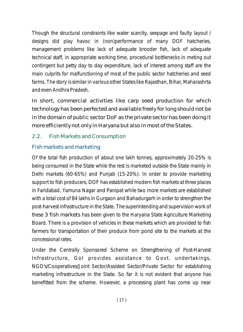Though the structural constraints like water scarcity, seepage and faulty layout / designs did play havoc in (non)performance of many DOF hatcheries, management problems like lack of adequate brooder fish, lack of adequate technical staff, in appropriate working time, procedural bottlenecks in meting out contingent but petty day to day expenditure, lack of interest among staff are the main culprits for malfunctioning of most of the public sector hatcheries and seed farms. The story is similar in various other States like Rajasthan, Bihar, Maharashrta and even Andhra Pradesh.

In short, commercial activities like carp seed production for which technology has been perfected and available freely for long should not be in the domain of public sector DoF as the private sector has been doing it more efficiently not only in Haryana but also in most of the States.

## 2.2. Fish Markets and Consumption

### Fish markets and marketing

Of the total fish production of about one lakh tonnes, approximately 20-25% is being consumed in the State while the rest is marketed outside the State mainly in Delhi markets (60-65%) and Punjab (15-20%). In order to provide marketing support to fish producers, DOF has established modern fish markets at three places in Faridabad, Yamuna Nagar and Panipat while two more markets are established with a total cost of 84 lakhs in Gurgaon and Bahadurgarh in order to strengthen the post-harvest infrastructure in the State. The superintending and supervision work of these 3 fish markets has been given to the Haryana State Agriculture Marketing Board. There is a provision of vehicles in these markets which are provided to fish farmers for transportation of their produce from pond site to the markets at the concessional rates.

Under the Centrally Sponsored Scheme on Strengthening of Post-Harvest Infrastructure, GoI provides assistance to Govt. undertakings, NGO's/Cooperatives/Joint Sector/Assisted Sector/Private Sector for establishing marketing infrastructure in the State. So far it is not evident that anyone has benefitted from the scheme. However, a processing plant has come up near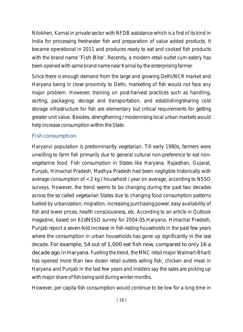Nilokheri, Karnal in private sector with NFDB assistance which is a first of its kind in India for processing freshwater fish and preparation of value added products. It became operational in 2011 and produces ready to eat and cooked fish products with the brand name 'Fish Bite'. Recently, a modern retail outlet cum eatery has been opened with same brand name near Karnal by the enterprising farmer.

Since there is enough demand from the large and growing Delhi/NCR market and Haryana being in close proximity to Delhi, marketing of fish would not face any major problem. However, training on post-harvest practices such as handling, sorting, packaging, storage and transportation, and establishing/sharing cold storage infrastructure for fish are elementary but critical requirements for getting greater unit value. Besides, strengthening / modernising local urban markets would help increase consumption within the State.

#### Fish consumption

Haryanvi population is predominantly vegetarian. Till early 1980s, farmers were unwilling to farm fish primarily due to general cultural non-preference to eat nonvegetarine food. Fish consumption in States like Haryana, Rajasthan, Gujarat, Punjab, Himachal Pradesh, Madhya Pradesh had been negligible historically with average consumption of  $< 2 \text{ kg}$  / household / year on average, according to NSSO surveys. However, the trend seems to be changing during the past two decades across the so called vegetarian States due to changing food consumption patterns fuelled by urbanization, migration, increasing purchasing power, easy availability of fish and lower prices, health consciousness, etc. According to an article in Outlook magazine, based on 61stNSSO survey for 2004-05,Haryana, Himachal Pradesh, Punjab report a seven-fold increase in fish-eating households in the past few years where the consumption in urban households has gone up significantly in the last decade. For example, 54 out of 1,000 eat fish now, compared to only 16 a decade ago in Haryana. Fuelling the trend, the MNC retail major Walmart-Bharti has opened more than two dozen retail outlets selling fish, chicken and meat in Haryana and Punjab in the last few years and insiders say the sales are picking up with major share of fish being sold during winter months.

However, per capita fish consumption would continue to be low for a long time in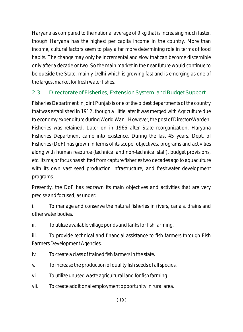Haryana as compared to the national average of 9 kg that is increasing much faster, though Haryana has the highest per capita income in the country. More than income, cultural factors seem to play a far more determining role in terms of food habits. The change may only be incremental and slow that can become discernible only after a decade or two. So the main market in the near future would continue to be outside the State, mainly Delhi which is growing fast and is emerging as one of the largest market for fresh water fishes.

### 2.3. Directorate of Fisheries, Extension System and Budget Support

Fisheries Department in joint Punjab is one of the oldest departments of the country that was established in 1912, though a little later it was merged with Agriculture due to economy expenditure during World War I. However, the post of Director/Warden, Fisheries was retained. Later on in 1966 after State reorganization, Haryana Fisheries Department came into existence. During the last 45 years, Dept. of Fisheries (DoF) has grown in terms of its scope, objectives, programs and activities along with human resource (technical and non-technical staff), budget provisions, etc. Its major focus has shifted from capture fisheries two decades ago to aquaculture with its own vast seed production infrastructure, and freshwater development programs.

Presently, the DoF has redrawn its main objectives and activities that are very precise and focused, as under:

i. To manage and conserve the natural fisheries in rivers, canals, drains and other water bodies.

ii. To utilize available village ponds and tanks for fish farming.

iii. To provide technical and financial assistance to fish farmers through Fish Farmers Development Agencies.

iv. To create a class of trained fish farmers in the state.

v. To increase the production of quality fish seeds of all species.

vi. To utilize unused waste agricultural land for fish farming.

vii. To create additional employment opportunity in rural area.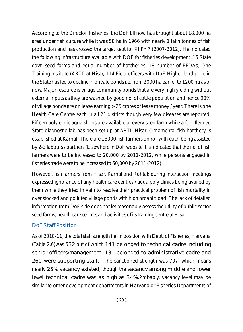According to the Director, Fisheries, the DoF till now has brought about 18,000 ha area under fish culture while it was 58 ha in 1966 with nearly 1 lakh tonnes of fish production and has crossed the target kept for XI FYP (2007-2012). He indicated the following infrastructure available with DOF for fisheries development: 15 State govt. seed farms and equal number of hatcheries; 18 number of FFDAs, One Training Institute (ARTI) at Hisar, 114 Field officers with DoF. Higher land price in the State has led to decline in private ponds i.e. from 2000 ha earlier to 1200 ha as of now. Major resource is village community ponds that are very high yielding without external inputs as they are washed by good no. of cattle population and hence 90% of village ponds are on lease earning >25 crores of lease money / year. There is one Health Care Centre each in all 21 districts though very few diseases are reported. Fifteen poly clinic aqua shops are available at every seed farm while a full- fledged State diagnostic lab has been set up at ARTI, Hisar. Ornamental fish hatchery is established at Karnal. There are 13000 fish farmers on roll with each being assisted by 2-3 labours / partners (Elsewhere in DoF website it is indicated that the no. of fish farmers were to be increased to 20,000 by 2011-2012, while persons engaged in fisheries trade were to be increased to 60,000 by 2011-2012).

However, fish farmers from Hisar, Karnal and Rohtak during interaction meetings expressed ignorance of any health care centres / aqua poly clinics being availed by them while they tried in vain to resolve their practical problem of fish mortality in over stocked and polluted village ponds with high organic load. The lack of detailed information from DoF side does not let reasonably assess the utility of public sector seed farms, health care centres and activities of its training centre at Hisar.

#### DoF Staff Position

As of 2010-11, the total staff strength i.e. in position with Dept. of Fisheries, Haryana (Table 2.6)was 532 out of which 141 belonged to technical cadre including senior officers/management, 131 belonged to administrative cadre and 260 were supporting staff. The sanctioned strength was 707, which means nearly 25% vacancy existed, though the vacancy among middle and lower level technical cadre was as high as 34%.Probably, vacancy level may be similar to other development departments in Haryana or Fisheries Departments of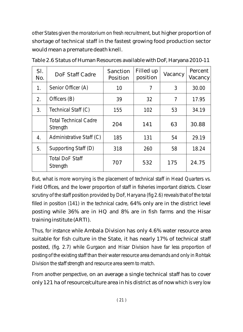other States given the moratorium on fresh recruitment, but higher proportion of shortage of technical staff in the fastest growing food production sector would mean a premature death knell.

| Sl.<br>No. | DoF Staff Cadre                          | Sanction<br>Position | Filled up<br>position | Vacancy | Percent<br>Vacancy |
|------------|------------------------------------------|----------------------|-----------------------|---------|--------------------|
| 1.         | Senior Officer (A)                       | 10                   | 7                     | 3       | 30.00              |
| 2.         | Officers (B)                             | 39                   | 32                    | 7       | 17.95              |
| 3.         | Technical Staff (C)                      | 155                  | 102                   | 53      | 34.19              |
|            | <b>Total Technical Cadre</b><br>Strength | 204                  | 141                   | 63      | 30.88              |
| 4.         | Administrative Staff (C)                 | 185                  | 131                   | 54      | 29.19              |
| 5.         | Supporting Staff (D)                     | 318                  | 260                   | 58      | 18.24              |
|            | <b>Total DoF Staff</b><br>Strength       | 707                  | 532                   | 175     | 24.75              |

Table 2.6 Status of Human Resources available with DoF, Haryana2010-11

But, what is more worrying is the placement of technical staff in Head Quarters vs. Field Offices, and the lower proportion of staff in fisheries important districts. Closer scrutiny of the staff position provided by DoF, Haryana (fig 2.6) reveals that of the total filled in position (141) in the technical cadre, 64% only are in the district level posting while 36% are in HQ and 8% are in fish farms and the Hisar training institute (ARTI).

Thus, for instance while Ambala Division has only 4.6% water resource area suitable for fish culture in the State, it has nearly 17% of technical staff posted, (fig. 2.7) while Gurgaon and Hisar Division have far less proportion of posting of the existing staff than their water resource area demands and only in Rohtak Division the staff strength and resource area seem to match.

From another perspective, on an average a single technical staff has to cover only 121 ha of resource/culture area in his district as of now which is very low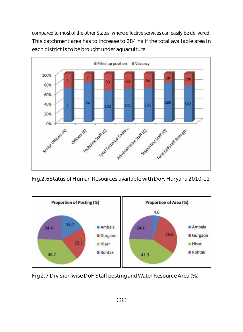compared to most of the other States, where effective services can easily be delivered. This catchment area has to increase to 284 ha if the total available area in each district is to be brought under aquaculture.



Fig.2.6Status of Human Resources available with DoF, Haryana 2010-11



Fig 2.7 Division wise DoF Staff posting and Water Resource Area (%)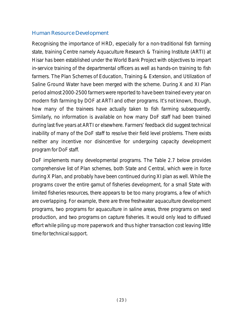#### Human Resource Development

Recognising the importance of HRD, especially for a non-traditional fish farming state, training Centre namely Aquaculture Research & Training Institute (ARTI) at Hisar has been established under the World Bank Project with objectives to impart in-service training of the departmental officers as well as hands-on training to fish farmers. The Plan Schemes of Education, Training & Extension, and Utilization of Saline Ground Water have been merged with the scheme. During X and XI Plan period almost 2000-2500 farmers were reported to have been trained every year on modern fish farming by DOF at ARTI and other programs. It's not known, though, how many of the trainees have actually taken to fish farming subsequently. Similarly, no information is available on how many DoF staff had been trained during last five years at ARTI or elsewhere. Farmers' feedback did suggest technical inability of many of the DoF staff to resolve their field level problems. There exists neither any incentive nor disincentive for undergoing capacity development program for DoF staff.

DoF implements many developmental programs. The Table 2.7 below provides comprehensive list of Plan schemes, both State and Central, which were in force during X Plan, and probably have been continued during XI plan as well. While the programs cover the entire gamut of fisheries development, for a small State with limited fisheries resources, there appears to be too many programs, a few of which are overlapping. For example, there are three freshwater aquaculture development programs, two programs for aquaculture in saline areas, three programs on seed production, and two programs on capture fisheries. It would only lead to diffused effort while piling up more paperwork and thus higher transaction cost leaving little time for technical support.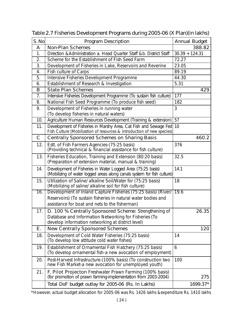| S.No         | <b>Program Description</b>                                                                                                                                                       | <b>Annual Budget</b> |  |  |  |
|--------------|----------------------------------------------------------------------------------------------------------------------------------------------------------------------------------|----------------------|--|--|--|
| A            | <b>Non-Plan Schemes</b>                                                                                                                                                          | 388.82               |  |  |  |
| 1.           | Direction & Administration a. Head Quarter Staff &b. District Staff<br>$30.39 + 124.31$                                                                                          |                      |  |  |  |
| 2.           | Scheme for the Establishment of Fish Seed Farm<br>72.27                                                                                                                          |                      |  |  |  |
| 3.           | Development of Fisheries in Lake, Reservoirs and Reverine                                                                                                                        | 23.05                |  |  |  |
| 4.           | <b>Fish culture of Carps</b>                                                                                                                                                     | 89.19                |  |  |  |
| 5.           | Intensive Fisheries Development Programme                                                                                                                                        | 44.30                |  |  |  |
| 6.           | Establishment of Research & Investigation                                                                                                                                        | 5.31                 |  |  |  |
| B            | <b>State Plan Schemes</b>                                                                                                                                                        | 429                  |  |  |  |
| 7.           | Intensive Fisheries Development Programme (To sustain fish culture)                                                                                                              | 177                  |  |  |  |
| 8.           | National Fish Seed Programme (To produce fish seed)                                                                                                                              | 182                  |  |  |  |
| 9.           | Development of Fisheries in running water                                                                                                                                        | 3                    |  |  |  |
|              | (To develop fisheries in natural waters)                                                                                                                                         |                      |  |  |  |
| 10.          | Agriculture Human Resources Development (Training & extension)                                                                                                                   | 57                   |  |  |  |
| 11.          | Development of Fisheries in Marshy Area, Cat Fish and Sewage Fed<br>Fish Culture (Mobilization of resources & introduction of new species)                                       | 10                   |  |  |  |
| $\mathsf{C}$ | <b>Centrally Sponsored Schemes on Sharing Basis</b>                                                                                                                              | 460.2                |  |  |  |
| 12.          | Estt. of Fish Farmers Agencies-(75:25 basis)<br>(Providing technical & financial assistance for fish culture)                                                                    | 376                  |  |  |  |
| 13.          | Fisheries Education, Training and Extension (80:20 basis)<br>(Preparation of extension material, manual & training)                                                              | 32.5                 |  |  |  |
| 14.          | Development of Fisheries in Water Logged Area (75:25 basis)<br>(Mobilizing of water logged areas along canals system for fish culture)                                           | 14.1                 |  |  |  |
| 15.          | Utilization of Saline/ alkaline Soil/Water for (75:25 basis)<br>(Mobilizing of saline/ alkaline soil for fish culture)                                                           | 18                   |  |  |  |
| 16.          | Development of Inland Capture Fisheries (75:25 basis) (River/<br>Reservoirs) (To sustain fisheries in natural water bodies and<br>assistance for boat and nets to the fisherman) | 19.6                 |  |  |  |
| 17.          | D. 100 % Centrally Sponsored Scheme: Strengthening of<br>Database and Information Networking for Fisheries (To<br>develop information networking at district level)              | 26.35                |  |  |  |
| Ε.           | <b>New Centrally Sponsored Schemes</b>                                                                                                                                           | 120                  |  |  |  |
| 18.          | Development of Cold Water Fisheries (75:25 basis)<br>(To develop low attitude cold water fishes)                                                                                 | 14                   |  |  |  |
| 19.          | Establishment of Ornamental Fish Hatchery (75:25 basis)<br>(To develop ornamental fish-a new avocation of employment)                                                            | 6                    |  |  |  |
| 20.          | Post-Harvest Infrastructure-(100% basis) (To construction two<br>new Fish Market-a new avocation for unemployed youth)                                                           | 100                  |  |  |  |
| 21.          | F. Pilot Projecton Freshwater Prawn Farming (100% basis)<br>(for promotion of prawn farming-implementation from 2003-2004)                                                       | 275                  |  |  |  |
|              | Total DoF budget outlay for 2005-06 (Rs. In Lakhs)                                                                                                                               | 1699.37*             |  |  |  |

Table 2.7 Fisheries Development Programs during 2005-06 (X Plan)(in lakhs)

\*However, actual budget allocation for 2005-06 was Rs. 1426 lakhs &expenditure Rs. 1410 lakhs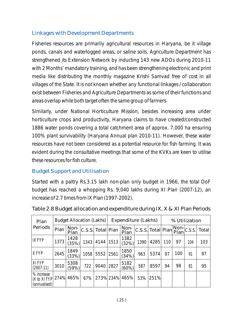### Linkages with Development Departments

Fisheries resources are primarily agricultural resources in Haryana, be it village ponds, canals and waterlogged areas, or saline soils. Agriculture Department has strengthened its Extension Network by inducting 143 new ADOs during 2010-11 with 2 Months' mandatory training, and has been strengthening electronic and print media like distributing the monthly magazine Krishi Samvad free of cost in all villages of the State. It is not known whether any functional linkages / collaboration exist between Fisheries and Agriculture Departments as some of their functions and areas overlap while both target often the same group of farmers.

Similarly, under National Horticulture Mission, besides increasing area under horticulture crops and productivity, Haryana claims to have created/constructed 1886 water ponds covering a total catchment area of approx. 7,000 ha ensuring 100% plant survivability (Haryana Annual plan 2010-11). However, these water resources have not been considered as a potential resource for fish farming. It was evident during the consultative meetings that some of the KVKs are keen to utilise these resources for fish culture.

## Budget Support and Utilisation

Started with a paltry Rs.3.15 lakh non-plan only budget in 1966, the total DoF budget has reached a whopping Rs. 9,040 lakhs during XI Plan (2007-12), an increase of 2.7 times from IX Plan (1997-2002).

| Plan                                       | <b>Budget Allocation (Lakhs)</b> |               |      |                   | Expenditure (Lakhs) |                  |                                                                                                                                       |      | % Utilization |     |     |       |
|--------------------------------------------|----------------------------------|---------------|------|-------------------|---------------------|------------------|---------------------------------------------------------------------------------------------------------------------------------------|------|---------------|-----|-----|-------|
| Periods                                    | Plan                             | Non-<br>Plan  |      | C.S.S. Total Plan |                     | Non-<br>Plan     | $ {\overline {\rm C.S.S.}\,}{\overline {\rm Total}\,}{\overline {\rm Plan}}\Big {\overline {\rm Non}\,}{\overline {\rm C.S.S.}}\Big $ |      |               |     |     | Total |
| <b>IX FYP</b>                              | 1373                             | 1428<br>(35%) | 1343 | 4144 1513         |                     | 1382<br>(32%)    | 1390                                                                                                                                  | 4285 | 110           | 97  | 104 | 103   |
| X FYP                                      | 2645                             | 1849<br>(33%) | 1058 | 5552              | 2561                | 1850<br>(34%)    | 963                                                                                                                                   | 5374 | 97            | 100 | 91  | 97    |
| XI FYP<br>$(2007-11)$                      | 3010                             | 5308<br>(59%) | 722  | 9040              | 2827                | 5182<br>$(60\%)$ | 587                                                                                                                                   | 8597 | 94            | 98  | 81  | 95    |
| % increase<br>IX to XI FYP<br>(annualised) |                                  | 274% 465%     | 67%  |                   |                     | 273% 234% 465%   | 53%                                                                                                                                   | 251% |               |     |     |       |

| Table 2.8 Budget allocation and expenditure during IX, X & XI Plan Periods |  |  |  |
|----------------------------------------------------------------------------|--|--|--|
|----------------------------------------------------------------------------|--|--|--|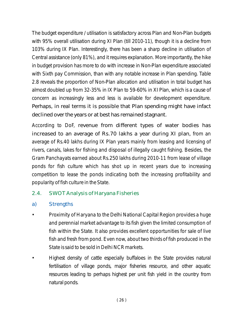The budget expenditure / utilisation is satisfactory across Plan and Non-Plan budgets with 95% overall utilisation during XI Plan (till 2010-11), though it is a decline from 103% during IX Plan. Interestingly, there has been a sharp decline in utilisation of Central assistance (only 81%), and it requires explanation. More importantly, the hike in budget provision has more to do with increase in Non-Plan expenditure associated with Sixth pay Commission, than with any notable increase in Plan spending. Table 2.8 reveals the proportion of Non-Plan allocation and utilisation in total budget has almost doubled up from 32-35% in IX Plan to 59-60% in XI Plan, which is a cause of concern as increasingly less and less is available for development expenditure. Perhaps, in real terms it is possible that Plan spending might have infact declined over the years or at best has remained stagnant.

According to DoF, revenue from different types of water bodies has increased to an average of Rs.70 lakhs a year during XI plan, from an average of Rs.40 lakhs during IX Plan years mainly from leasing and licensing of rivers, canals, lakes for fishing and disposal of illegally caught fishing. Besides, the Gram Panchayats earned about Rs.250 lakhs during 2010-11 from lease of village ponds for fish culture which has shot up in recent years due to increasing competition to lease the ponds indicating both the increasing profitability and popularity of fish culture in the State.

### 2.4. SWOT Analysis of Haryana Fisheries

### a) Strengths

- Proximity of Haryana to the Delhi National Capital Region provides a huge and perennial market advantage to its fish given the limited consumption of fish within the State. It also provides excellent opportunities for sale of live fish and fresh from pond. Even now, about two thirds of fish produced in the State is said to be sold in Delhi NCR markets.
- Highest density of cattle especially buffaloes in the State provides natural fertilisation of village ponds, major fisheries resource, and other aquatic resources leading to perhaps highest per unit fish yield in the country from natural ponds.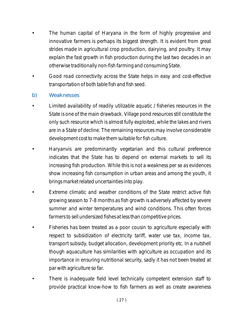- The human capital of Haryana in the form of highly progressive and innovative farmers is perhaps its biggest strength. It is evident from great strides made in agricultural crop production, dairying, and poultry. It may explain the fast growth in fish production during the last two decades in an otherwise traditionally non-fish farming and consuming State.
- Good road connectivity across the State helps in easy and cost-effective transportation of both table fish and fish seed.

#### b) Weaknesses

- Limited availability of readily utilizable aquatic / fisheries resources in the State is one of the main drawback. Village pond resources still constitute the only such resource which is almost fully exploited, while the lakes and rivers are in a State of decline. The remaining resources may involve considerable development cost to make them suitable for fish culture.
- Haryanvis are predominantly vegetarian and this cultural preference indicates that the State has to depend on external markets to sell its increasing fish production. While this is not a weakness per se as evidences show increasing fish consumption in urban areas and among the youth, it brings market related uncertainties into play.
- Extreme climatic and weather conditions of the State restrict active fish growing season to 7-8 months as fish growth is adversely affected by severe summer and winter temperatures and wind conditions. This often forces farmers to sell undersized fishes at less than competitive prices.
- Fisheries has been treated as a poor cousin to agriculture especially with respect to subsidization of electricity tariff, water use tax, income tax, transport subsidy, budget allocation, development priority etc. In a nutshell though aquaculture has similarities with agriculture as occupation and its importance in ensuring nutritional security, sadly it has not been treated at par with agriculture so far.
- There is inadequate field level technically competent extension staff to provide practical know-how to fish farmers as well as create awareness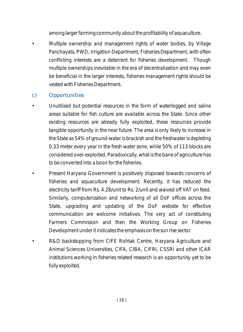among larger farming community about the profitability of aquaculture.

• Multiple ownership and management rights of water bodies, by Village Panchayats, PWD, Irrigation Department, Fisheries Department, with often conflicting interests are a deterrent for fisheries development. Though multiple ownerships inevitable in the era of decentralization and may even be beneficial in the larger interests, fisheries management rights should be vested with Fisheries Department.

## c) Opportunities

- Unutilised but potential resources in the form of waterlogged and saline areas suitable for fish culture are available across the State. Since other existing resources are already fully exploited, these resources provide tangible opportunity in the near future. The area is only likely to increase in the State as 54% of ground-water is brackish and the freshwater is depleting 0.33 meter every year in the fresh water zone, while 50% of 113 blocks are considered over-exploited. Paradoxically, what is the bane of agriculture has to be converted into a boon for the fisheries.
- Present Haryana Government is positively disposed towards concerns of fisheries and aquaculture development. Recently, it has reduced the electricity tariff from Rs. 4.28/unit to Rs. 2/unit and waived off VAT on feed. Similarly, computerization and networking of all DoF offices across the State, upgrading and updating of the DoF website for effective communication are welcome initiatives. The very act of constituting Farmers Commission and then the Working Group on Fisheries Development under it indicates the emphasis on the sun rise sector.
- R&D backstopping from CIFE Rohtak Centre, Haryana Agriculture and Animal Sciences Universities, CIFA, CIBA, CIFRI, CSSRI and other ICAR institutions working in fisheries related research is an opportunity yet to be fully exploited.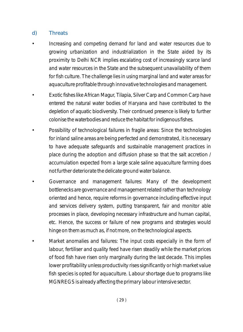### d) Threats

- Increasing and competing demand for land and water resources due to growing urbanization and industrialization in the State aided by its proximity to Delhi NCR implies escalating cost of increasingly scarce land and water resources in the State and the subsequent unavailability of them for fish culture. The challenge lies in using marginal land and water areas for aquaculture profitable through innovative technologies and management.
- Exotic fishes like African Magur, Tilapia, Silver Carp and Common Carp have entered the natural water bodies of Haryana and have contributed to the depletion of aquatic biodiversity. Their continued presence is likely to further colonise the waterbodies and reduce the habitat for indigenous fishes.
- Possibility of technological failures in fragile areas: Since the technologies for inland saline areas are being perfected and demonstrated, it is necessary to have adequate safeguards and sustainable management practices in place during the adoption and diffusion phase so that the salt accretion / accumulation expected from a large scale saline aquaculture farming does not further deteriorate the delicate ground water balance.
- Governance and management failures: Many of the development bottlenecks are governance and management related rather than technology oriented and hence, require reforms in governance including effective input and services delivery system, putting transparent, fair and monitor able processes in place, developing necessary infrastructure and human capital, etc. Hence, the success or failure of new programs and strategies would hinge on them as much as, if not more, on the technological aspects.
- Market anomalies and failures: The input costs especially in the form of labour, fertiliser and quality feed have risen steadily while the market prices of food fish have risen only marginally during the last decade. This implies lower profitability unless productivity rises significantly or high market value fish species is opted for aquaculture. Labour shortage due to programs like MGNREGS is already affecting the primary labour intensive sector.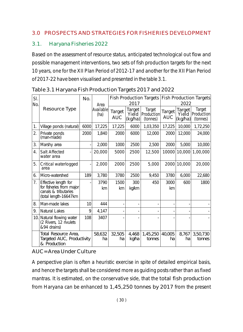#### 3.0 PROSPECTS AND STRATEGIES FOR FISHERIES DEVELOPMENT

### 3.1. Haryana Fisheries 2022

Based on the assessment of resource status, anticipated technological out flow and possible management interventions, two sets of fish production targets for the next 10 years, one for the XII Plan Period of 2012-17 and another for the XII Plan Period of 2017-22 have been visualised and presented in the table 3.1.

| Sl. |                                                                           | No.  |                           |                             |                            | <b>Fish Production Targets</b>          | <b>Fish Production Targets</b> |                            |                                  |
|-----|---------------------------------------------------------------------------|------|---------------------------|-----------------------------|----------------------------|-----------------------------------------|--------------------------------|----------------------------|----------------------------------|
| No. |                                                                           |      | Area<br>Available<br>(ha) |                             | 2017                       |                                         | 2022                           |                            |                                  |
|     | Resource Type                                                             |      |                           | <b>Target</b><br><b>AUC</b> | Target<br>Yield<br>(kg/ha) | <b>Target</b><br>Production<br>(tonnes) | Target<br><b>AUC</b>           | Target<br>Yield<br>(kg/ha) | Target<br>Production<br>(tonnes) |
| 1.  | Village ponds (natural)                                                   | 6000 | 17,225                    | 17,225                      | 6000                       | 1,03,350                                | 17,225                         | 10,000                     | 1,72,250                         |
| 2.  | Private ponds<br>(man-made)                                               | 2000 | 1,840                     | 2000                        | 6000                       | 12,000                                  | 2000                           | 12,000                     | 24,000                           |
| 3.  | Marshy area                                                               |      | 2,000                     | 1000                        | 2500                       | 2,500                                   | 2000                           | 5,000                      | 10,000                           |
| 4.  | <b>Salt Affected</b><br>water area                                        |      | 20,000                    | 5000                        | 2500                       | 12,500                                  | 10000                          |                            | $10,000$ 1,00,000                |
| 5.  | Critical waterlogged<br>area                                              |      | 2,000                     | 2000                        | 2500                       | 5,000                                   | 2000                           | 10,000                     | 20,000                           |
| 6.  | Micro-watershed                                                           | 189  | 3,780                     | 3780                        | 2500                       | 9,450                                   | 3780                           | 6,000                      | 22,680                           |
| 7.  | Effective length for                                                      |      | 3790                      | 1500                        | 300                        | 450                                     | 3000                           | 600                        | 1800                             |
|     | for fisheries from major<br>canals & tributaries<br>(total length-16647km |      | km                        | km                          | kg/km                      |                                         | km                             |                            |                                  |
| 8.  | Man-made lakes                                                            | 10   | 444                       |                             |                            |                                         |                                |                            |                                  |
| 9.  | <b>Natural Lakes</b>                                                      | 9    | 4,147                     |                             |                            |                                         |                                |                            |                                  |
| 10. | Natural flowing water<br>(2 Rivers, 12 rivulets<br>&94 drains)            | 108  | 3407                      |                             |                            |                                         |                                |                            |                                  |
|     | Total Resource Area,<br>Targeted AUC, Productivity<br>& Production        |      | 58,632<br>ha              | 32,505<br>ha                | 4,468<br>kg/ha             | 1,45,250<br>tonnes                      | 40,005<br>ha                   | 8,767<br>ha                | 3,50,730<br>tonnes               |

Table 3.1 Haryana Fish Production Targets 2017 and 2022

AUC=Area Under Culture

A perspective plan is often a heuristic exercise in spite of detailed empirical basis, and hence the targets shall be considered more as guiding posts rather than as fixed mantras. It is estimated, on the conservative side, that the total fish production from Haryana can be enhanced to 1,45,250 tonnes by 2017 from the present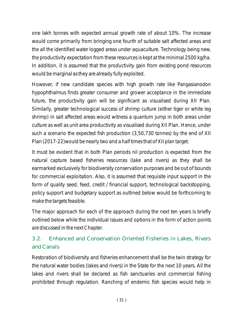one lakh tonnes with expected annual growth rate of about 10%. The increase would come primarily from bringing one fourth of suitable salt affected areas and the all the identified water logged areas under aquaculture. Technology being new, the productivity expectation from these resources is kept at the minimal 2500 kg/ha. In addition, it is assumed that the productivity gain from existing pond resources would be marginal as they are already fully exploited.

However, if new candidate species with high growth rate like *Pangasianodon hypophthalmus* finds greater consumer and grower acceptance in the immediate future, the productivity gain will be significant as visualised during XII Plan. Similarly, greater technological success of shrimp culture (either tiger or white leg shrimp) in salt affected areas would witness a quantum jump in both areas under culture as well as unit area productivity as visualised during XII Plan. Hence, under such a scenario the expected fish production (3,50,730 tonnes) by the end of XII Plan (2017-22)would be nearly two and a half times that of XII plan target.

It must be evident that in both Plan periods nil production is expected from the natural capture based fisheries resources (lake and rivers) as they shall be earmarked exclusively for biodiversity conservation purposes and be out of bounds for commercial exploitation. Also, it is assumed that requisite input support in the form of quality seed, feed, credit / financial support, technological backstopping, policy support and budgetary support as outlined below would be forthcoming to make the targets feasible.

The major approach for each of the approach during the next ten years is briefly outlined below while the individual issues and options in the form of action points are discussed in the next Chapter.

# 3.2. Enhanced and Conservation Oriented Fisheries in Lakes, Rivers and Canals

Restoration of biodiversity and fisheries enhancement shall be the twin strategy for the natural water bodies (lakes and rivers) in the State for the next 10 years. All the lakes and rivers shall be declared as fish sanctuaries and commercial fishing prohibited through regulation. Ranching of endemic fish species would help in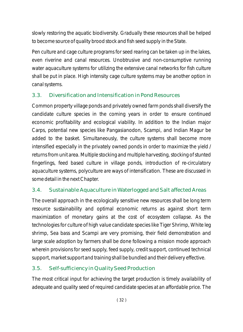slowly restoring the aquatic biodiversity. Gradually these resources shall be helped to become source of quality brood stock and fish seed supply in the State.

Pen culture and cage culture programs for seed rearing can be taken up in the lakes, even riverine and canal resources. Unobtrusive and non-consumptive running water aquaculture systems for utilizing the extensive canal networks for fish culture shall be put in place. High intensity cage culture systems may be another option in canal systems.

# 3.3. Diversification and Intensification in Pond Resources

Common property village ponds and privately owned farm ponds shall diversify the candidate culture species in the coming years in order to ensure continued economic profitability and ecological viability. In addition to the Indian major Carps, potential new species like Pangasianodon, Scampi, and Indian Magur be added to the basket. Simultaneously, the culture systems shall become more intensified especially in the privately owned ponds in order to maximize the yield / returns from unit area. Multiple stocking and multiple harvesting, stocking of stunted fingerlings, feed based culture in village ponds, introduction of re-circulatory aquaculture systems, polyculture are ways of intensification. These are discussed in some detail in the next Chapter.

## 3.4. Sustainable Aquaculture in Waterlogged and Salt affected Areas

The overall approach in the ecologically sensitive new resources shall be long term resource sustainability and optimal economic returns as against short term maximization of monetary gains at the cost of ecosystem collapse. As the technologies for culture of high value candidate species like Tiger Shrimp, White leg shrimp, Sea bass and Scampi are very promising, their field demonstration and large scale adoption by farmers shall be done following a mission mode approach wherein provisions for seed supply, feed supply, credit support, continued technical support, market support and training shall be bundled and their delivery effective.

## 3.5. Self-sufficiency in Quality Seed Production

The most critical input for achieving the target production is timely availability of adequate and quality seed of required candidate species at an affordable price. The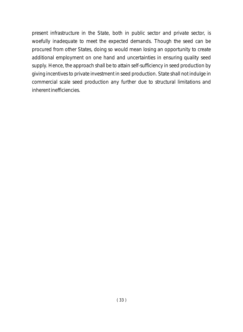present infrastructure in the State, both in public sector and private sector, is woefully inadequate to meet the expected demands. Though the seed can be procured from other States, doing so would mean losing an opportunity to create additional employment on one hand and uncertainties in ensuring quality seed supply. Hence, the approach shall be to attain self-sufficiency in seed production by giving incentives to private investment in seed production. State shall not indulge in commercial scale seed production any further due to structural limitations and inherent inefficiencies.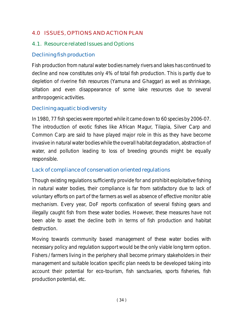### 4.0 ISSUES, OPTIONS AND ACTION PLAN

### 4.1. Resource related Issues and Options

### Declining fish production

Fish production from natural water bodies namely rivers and lakes has continued to decline and now constitutes only 4% of total fish production. This is partly due to depletion of riverine fish resources (Yamuna and Ghaggar) as well as shrinkage, siltation and even disappearance of some lake resources due to several anthropogenic activities.

### Declining aquatic biodiversity

In 1980, 77 fish species were reported while it came down to 60 species by 2006-07. The introduction of exotic fishes like African Magur, Tilapia, Silver Carp and Common Carp are said to have played major role in this as they have become invasive in natural water bodies while the overall habitat degradation, abstraction of water, and pollution leading to loss of breeding grounds might be equally responsible.

### Lack of compliance of conservation oriented regulations

Though existing regulations sufficiently provide for and prohibit exploitative fishing in natural water bodies, their compliance is far from satisfactory due to lack of voluntary efforts on part of the farmers as well as absence of effective monitor able mechanism. Every year, DoF reports confiscation of several fishing gears and illegally caught fish from these water bodies. However, these measures have not been able to asset the decline both in terms of fish production and habitat destruction.

Moving towards community based management of these water bodies with necessary policy and regulation support would be the only viable long term option. Fishers / farmers living in the periphery shall become primary stakeholders in their management and suitable location specific plan needs to be developed taking into account their potential for eco-tourism, fish sanctuaries, sports fisheries, fish production potential, etc.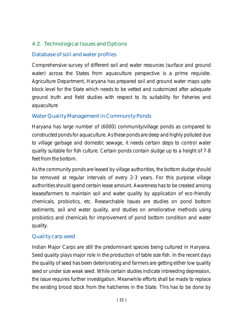### 4.2. Technological Issues and Options

### Database of soil and water profiles

Comprehensive survey of different soil and water resources (surface and ground water) across the States from aquaculture perspective is a prime requisite. Agriculture Department, Haryana has prepared soil and ground water maps upto block level for the State which needs to be vetted and customized after adequate ground truth and field studies with respect to its suitability for fisheries and aquaculture

### Water Quality Management in Community Ponds

Haryana has large number of (6000) community/village ponds as compared to constructed ponds for aquaculture. As these ponds are deep and highly polluted due to village garbage and domestic sewage, it needs certain steps to control water quality suitable for fish culture. Certain ponds contain sludge up to a height of 7-8 feet from the bottom.

As the community ponds are leased by village authorities, the bottom sludge should be removed at regular intervals of every 2-3 years. For this purpose village authorities should spend certain lease amount. Awareness has to be created among leases/farmers to maintain soil and water quality by application of eco-friendly chemicals, probiotics, etc. Researchable Issues are studies on pond bottom sediments, soil and water quality, and studies on ameliorative methods using probiotics and chemicals for improvement of pond bottom condition and water quality.

### Quality carp seed

Indian Major Carps are still the predominant species being cultured in Haryana. Seed quality plays major role in the production of table size fish. In the recent days the quality of seed has been deteriorating and farmers are getting either low quality seed or under size weak seed. While certain studies indicate inbreeding depression, the issue requires further investigation. Meanwhile efforts shall be made to replace the existing brood stock from the hatcheries in the State. This has to be done by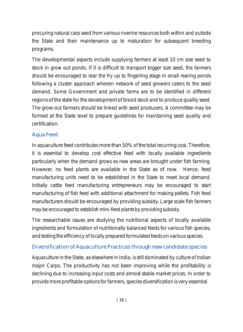procuring natural carp seed from various riverine resources both within and outside the State and their maintenance up to maturation for subsequent breeding programs.

The developmental aspects include supplying farmers at least 10 cm size seed to stock in grow out ponds. If it is difficult to transport bigger size seed, the farmers should be encouraged to rear the fry up to fingerling stage in small rearing ponds following a cluster approach wherein network of seed growers caters to the seed demand. Some Government and private farms are to be identified in different regions of the state for the development of brood stock and to produce quality seed. The grow-out farmers should be linked with seed producers. A committee may be formed at the State level to prepare guidelines for maintaining seed quality and certification.

### Aqua Feed

In aquaculture feed contributes more than 50% of the total recurring cost. Therefore, it is essential to develop cost effective feed with locally available ingredients particularly when the demand grows as new areas are brought under fish farming. However, no feed plants are available in the State as of now. Hence, feed manufacturing units need to be established in the State to meet local demand. Initially cattle feed manufacturing entrepreneurs may be encouraged to start manufacturing of fish feed with additional attachment for making pellets. Fish feed manufacturers should be encouraged by providing subsidy. Large scale fish farmers may be encouraged to establish mini-feed plants by providing subsidy.

The researchable issues are studying the nutritional aspects of locally available ingredients and formulation of nutritionally balanced feeds for various fish species, and testing the efficiency of locally prepared formulated feeds on various species.

### Diversification of Aquaculture Practices through new candidate species

Aquaculture in the State, as elsewhere in India, is still dominated by culture of Indian major Carps. The productivity has not been improving while the profitability is declining due to increasing input costs and almost stable market prices. In order to provide more profitable options for farmers, species diversification is very essential.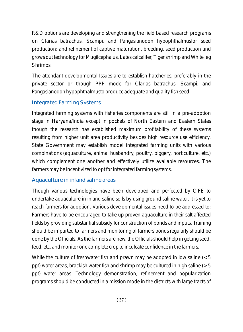R&D options are developing and strengthening the field based research programs on *Clarias batrachus, Scampi, and Pangasianodon hypophthalmusfor* seed production; and refinement of captive maturation, breeding, seed production and grows out technology for *Mugilcephalus, Lates calcalifer, Tiger shrimp* and *White leg Shrimps.*

The attendant developmental Issues are to establish hatcheries, preferably in the private sector or though PPP mode for *Clarias batrachus, Scampi,* and *Pangasianodon hypophthalmusto* produce adequate and quality fish seed.

## Integrated Farming Systems

Integrated farming systems with fisheries components are still in a pre-adoption stage in Haryana/India except in pockets of North Eastern and Eastern States though the research has established maximum profitability of these systems resulting from higher unit area productivity besides high resource use efficiency. State Government may establish model integrated farming units with various combinations (aquaculture, animal husbandry, poultry, piggery, horticulture, etc.) which complement one another and effectively utilize available resources. The farmers may be incentivized to opt for integrated farming systems.

# Aquaculture in inland saline areas

Though various technologies have been developed and perfected by CIFE to undertake aquaculture in inland saline soils by using ground saline water, it is yet to reach farmers for adoption. Various developmental issues need to be addressed to: Farmers have to be encouraged to take up proven aquaculture in their salt affected fields by providing substantial subsidy for construction of ponds and inputs. Training should be imparted to farmers and monitoring of farmers ponds regularly should be done by the Officials. As the farmers are new, the Officials should help in getting seed, feed, etc. and monitor one complete crop to inculcate confidence in the farmers.

While the culture of freshwater fish and prawn may be adopted in low saline  $(< 5$ ppt) water areas, brackish water fish and shrimp may be cultured in high saline ( $>5$ ) ppt) water areas. Technology demonstration, refinement and popularization programs should be conducted in a mission mode in the districts with large tracts of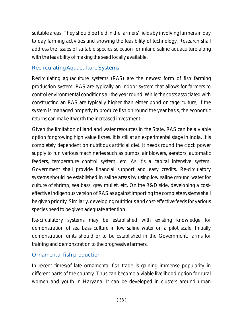suitable areas. They should be held in the farmers' fields by involving farmers in day to day farming activities and showing the feasibility of technology. Research shall address the issues of suitable species selection for inland saline aquaculture along with the feasibility of making the seed locally available.

### Recirculating Aquaculture Systems

Recirculating aquaculture systems (RAS) are the newest form of fish farming production system. RAS are typically an indoor system that allows for farmers to control environmental conditions all the year round. While the costs associated with constructing an RAS are typically higher than either pond or cage culture, if the system is managed properly to produce fish on round the year basis, the economic returns can make it worth the increased investment.

Given the limitation of land and water resources in the State, RAS can be a viable option for growing high value fishes. It is still at an experimental stage in India. It is completely dependent on nutritious artificial diet. It needs round the clock power supply to run various machineries such as pumps, air blowers, aerators, automatic feeders, temperature control system, etc. As it's a capital intensive system, Government shall provide financial support and easy credits. Re-circulatory systems should be established in saline areas by using low saline ground water for culture of shrimp, sea bass, grey mullet, etc. On the R&D side, developing a costeffective indigenous version of RAS as against importing the complete systems shall be given priority. Similarly, developing nutritious and cost-effective feeds for various species need to be given adequate attention.

Re-circulatory systems may be established with existing knowledge for demonstration of sea bass culture in low saline water on a pilot scale. Initially demonstration units should or to be established in the Government, farms for training and demonstration to the progressive farmers.

### Ornamental fish production

In recent times/of late ornamental fish trade is gaining immense popularity in different parts of the country. Thus can become a viable livelihood option for rural women and youth in Haryana. It can be developed in clusters around urban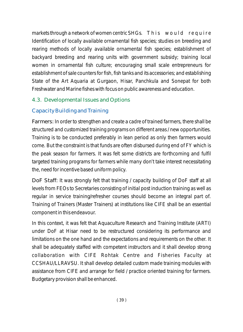markets through a network of women centric SHGs. This would require Identification of locally available ornamental fish species; studies on breeding and rearing methods of locally available ornamental fish species; establishment of backyard breeding and rearing units with government subsidy; training local women in ornamental fish culture; encouraging small scale entrepreneurs for establishment of sale counters for fish, fish tanks and its accessories; and establishing State of the Art Aquaria at Gurgaon, Hisar, Panchkula and Sonepat for both Freshwater and Marine fishes with focus on public awareness and education.

## 4.3. Developmental Issues and Options

# Capacity Building and Training

Farmers: In order to strengthen and create a cadre of trained farmers, there shall be structured and customized training programs on different areas / new opportunities. Training is to be conducted preferably in lean period as only then farmers would come. But the constraint is that funds are often disbursed during end of FY which is the peak season for farmers. It was felt some districts are forthcoming and fulfil targeted training programs for farmers while many don't take interest necessitating the, need for incentive based uniform policy.

DoF Staff: It was strongly felt that training / capacity building of DoF staff at all levels from FEOs to Secretaries consisting of initial post induction training as well as regular in service training/refresher courses should become an integral part of. Training of Trainers (Master Trainers) at institutions like CIFE shall be an essential component in this endeavour.

In this context, it was felt that Aquaculture Research and Training Institute (ARTI) under DoF at Hisar need to be restructured considering its performance and limitations on the one hand and the expectations and requirements on the other. It shall be adequately staffed with competent instructors and it shall develop strong collaboration with CIFE Rohtak Centre and Fisheries Faculty at CCSHAU/LLRAVSU. It shall develop detailed custom made training modules with assistance from CIFE and arrange for field / practice oriented training for farmers. Budgetary provision shall be enhanced.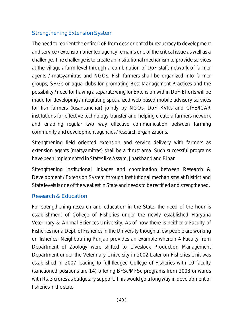### Strengthening Extension System

The need to reorient the entire DoF from desk oriented bureaucracy to development and service / extension oriented agency remains one of the critical issue as well as a challenge. The challenge is to create an institutional mechanism to provide services at the village / farm level through a combination of DoF staff, network of farmer agents / matsyamitras and NGOs. Fish farmers shall be organized into farmer groups, SHGs or aqua clubs for promoting Best Management Practices and the possibility / need for having a separate wing for Extension within DoF. Efforts will be made for developing / integrating specialized web based mobile advisory services for fish farmers (kisansanchar) jointly by NGOs, DoF, KVKs and CIFE/ICAR institutions for effective technology transfer and helping create a farmers network and enabling regular two way effective communication between farming community and development agencies / research organizations.

Strengthening field oriented extension and service delivery with farmers as extension agents (matsyamitras) shall be a thrust area. Such successful programs have been implemented in States like Assam, Jharkhand and Bihar.

Strengthening institutional linkages and coordination between Research & Development / Extension System through Institutional mechanisms at District and State levels is one of the weakest in State and needs to be rectified and strengthened.

#### Research & Education

For strengthening research and education in the State, the need of the hour is establishment of College of Fisheries under the newly established Haryana Veterinary & Animal Sciences University. As of now there is neither a Faculty of Fisheries nor a Dept. of Fisheries in the University though a few people are working on fisheries. Neighbouring Punjab provides an example wherein 4 Faculty from Department of Zoology were shifted to Livestock Production Management Department under the Veterinary University in 2002 Later on Fisheries Unit was established in 2007 leading to full-fledged College of Fisheries with 10 faculty (sanctioned positions are 14) offering BFSc/MFSc programs from 2008 onwards with Rs. 3 crores as budgetary support. This would go a long way in development of fisheries in the state.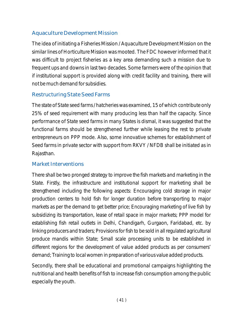## Aquaculture Development Mission

The idea of initiating a Fisheries Mission / Aquaculture Development Mission on the similar lines of Horticulture Mission was mooted. The FDC however informed that it was difficult to project fisheries as a key area demanding such a mission due to frequent ups and downs in last two decades. Some farmers were of the opinion that if institutional support is provided along with credit facility and training, there will not be much demand for subsidies.

### Restructuring State Seed Farms

The state of State seed farms / hatcheries was examined, 15 of which contribute only 25% of seed requirement with many producing less than half the capacity. Since performance of State seed farms in many States is dismal, it was suggested that the functional farms should be strengthened further while leasing the rest to private entrepreneurs on PPP mode. Also, some innovative schemes for establishment of Seed farms in private sector with support from RKVY / NFDB shall be initiated as in Rajasthan.

### Market Interventions

There shall be two pronged strategy to improve the fish markets and marketing in the State. Firstly, the infrastructure and institutional support for marketing shall be strengthened including the following aspects: Encouraging cold storage in major production centers to hold fish for longer duration before transporting to major markets as per the demand to get better price; Encouraging marketing of live fish by subsidizing its transportation, lease of retail space in major markets; PPP model for establishing fish retail outlets in Delhi, Chandigarh, Gurgaon, Faridabad, etc. by linking producers and traders; Provisions for fish to be sold in all regulated agricultural produce mandis within State; Small scale processing units to be established in different regions for the development of value added products as per consumers' demand; Training to local women in preparation of various value added products.

Secondly, there shall be educational and promotional campaigns highlighting the nutritional and health benefits of fish to increase fish consumption among the public especially the youth.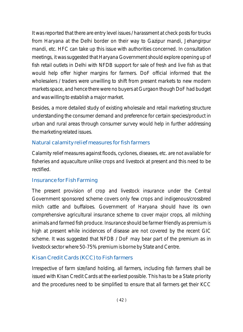It was reported that there are entry level issues / harassment at check posts for trucks from Haryana at the Delhi border on their way to Gazipur mandi, Jehangirpur mandi, etc. HFC can take up this issue with authorities concerned. In consultation meetings, it was suggested that Haryana Government should explore opening up of fish retail outlets in Delhi with NFDB support for sale of fresh and live fish as that would help offer higher margins for farmers. DoF official informed that the wholesalers / traders were unwilling to shift from present markets to new modern markets space, and hence there were no buyers at Gurgaon though DoF had budget and was willing to establish a major market.

Besides, a more detailed study of existing wholesale and retail marketing structure understanding the consumer demand and preference for certain species/product in urban and rural areas through consumer survey would help in further addressing the marketing related issues.

## Natural calamity relief measures for fish farmers

Calamity relief measures against floods, cyclones, diseases, etc. are not available for fisheries and aquaculture unlike crops and livestock at present and this need to be rectified.

## Insurance for Fish Farming

The present provision of crop and livestock insurance under the Central Government sponsored scheme covers only few crops and indigenous/crossbred milch cattle and buffaloes. Government of Haryana should have its own comprehensive agricultural insurance scheme to cover major crops, all milching animals and farmed fish produce. Insurance should be farmer friendly as premium is high at present while incidences of disease are not covered by the recent GIC scheme. It was suggested that NFDB / DoF may bear part of the premium as in livestock sector where 50-75% premium is borne by State and Centre.

# Kisan Credit Cards (KCC) to Fish farmers

Irrespective of farm size/land holding, all farmers, including fish farmers shall be issued with Kisan Credit Cards at the earliest possible. This has to be a State priority and the procedures need to be simplified to ensure that all farmers get their KCC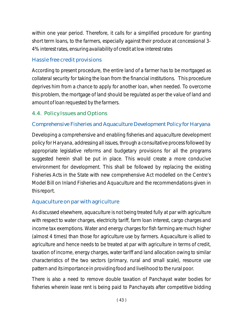within one year period. Therefore, it calls for a simplified procedure for granting short term loans, to the farmers, especially against their produce at concessional 3- 4% interest rates, ensuring availability of credit at low interest rates

### Hassle free credit provisions

According to present procedure, the entire land of a farmer has to be mortgaged as collateral security for taking the loan from the financial institutions. This procedure deprives him from a chance to apply for another loan, when needed. To overcome this problem, the mortgage of land should be regulated as per the value of land and amount of loan requested by the farmers.

### 4.4. Policy Issues and Options

### Comprehensive Fisheries and Aquaculture Development Policy for Haryana

Developing a comprehensive and enabling fisheries and aquaculture development policy for Haryana, addressing all issues, through a consultative process followed by appropriate legislative reforms and budgetary provisions for all the programs suggested herein shall be put in place. This would create a more conducive environment for development. This shall be followed by replacing the existing Fisheries Acts in the State with new comprehensive Act modelled on the Centre's Model Bill on Inland Fisheries and Aquaculture and the recommendations given in this report.

### Aquaculture on par with agriculture

As discussed elsewhere, aquaculture is not being treated fully at par with agriculture with respect to water charges, electricity tariff, farm loan interest, cargo charges and income tax exemptions. Water and energy charges for fish farming are much higher (almost 4 times) than those for agriculture use by farmers. Aquaculture is allied to agriculture and hence needs to be treated at par with agriculture in terms of credit, taxation of income, energy charges, water tariff and land allocation owing to similar characteristics of the two sectors (primary, rural and small scale), resource use pattern and its importance in providing food and livelihood to the rural poor.

There is also a need to remove double taxation of Panchayat water bodies for fisheries wherein lease rent is being paid to Panchayats after competitive bidding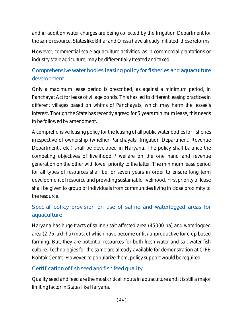and in addition water charges are being collected by the Irrigation Department for the same resource. States like Bihar and Orissa have already initiated these reforms.

However, commercial scale aquaculture activities, as in commercial plantations or industry scale agriculture, may be differentially treated and taxed.

# Comprehensive water bodies leasing policy for fisheries and aquaculture development

Only a maximum lease period is prescribed, as against a minimum period, in Panchayat Act for lease of village ponds. This has led to different leasing practices in different villages based on whims of Panchayats, which may harm the lessee's interest. Though the State has recently agreed for 5 years minimum lease, this needs to be followed by amendment.

A comprehensive leasing policy for the leasing of all public water bodies for fisheries irrespective of ownership (whether Panchayats, Irrigation Department, Revenue Department., etc.) shall be developed in Haryana. The policy shall balance the competing objectives of livelihood / welfare on the one hand and revenue generation on the other with lower priority to the latter. The minimum lease period for all types of resources shall be for seven years in order to ensure long term development of resource and providing sustainable livelihood. First priority of lease shall be given to group of individuals from communities living in close proximity to the resource.

# Special policy provision on use of saline and waterlogged areas for aquaculture

Haryana has huge tracts of saline / salt affected area (45000 ha) and waterlogged area (2.75 lakh ha) most of which have become unfit / unproductive for crop based farming. But, they are potential resources for both fresh water and salt water fish culture. Technologies for the same are already available for demonstration at CIFE Rohtak Centre. However, to popularize them, policy support would be required.

## Certification of fish seed and fish feed quality

Quality seed and feed are the most critical inputs in aquaculture and it is still a major limiting factor in States like Haryana.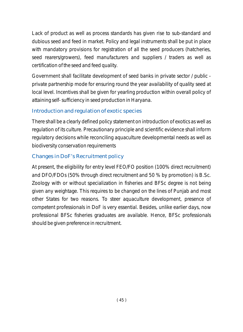Lack of product as well as process standards has given rise to sub-standard and dubious seed and feed in market. Policy and legal instruments shall be put in place with mandatory provisions for registration of all the seed producers (hatcheries, seed rearers/growers), feed manufacturers and suppliers / traders as well as certification of the seed and feed quality.

Government shall facilitate development of seed banks in private sector / public private partnership mode for ensuring round the year availability of quality seed at local level. Incentives shall be given for yearling production within overall policy of attaining self- sufficiency in seed production in Haryana.

# Introduction and regulation of exotic species

There shall be a clearly defined policy statement on introduction of exotics as well as regulation of its culture. Precautionary principle and scientific evidence shall inform regulatory decisions while reconciling aquaculture developmental needs as well as biodiversity conservation requirements

# Changes in DoF's Recruitment policy

At present, the eligibility for entry level FEO/FO position (100% direct recruitment) and DFO/FDOs (50% through direct recruitment and 50 % by promotion) is B.Sc. Zoology with or without specialization in fisheries and BFSc degree is not being given any weightage. This requires to be changed on the lines of Punjab and most other States for two reasons. To steer aquaculture development, presence of competent professionals in DoF is very essential. Besides, unlike earlier days, now professional BFSc fisheries graduates are available. Hence, BFSc professionals should be given preference in recruitment.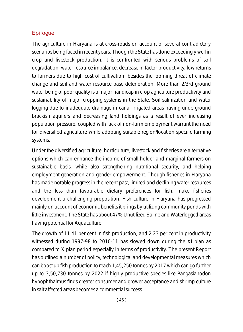### Epilogue

The agriculture in Haryana is at cross-roads on account of several contradictory scenarios being faced in recent years. Though the State has done exceedingly well in crop and livestock production, it is confronted with serious problems of soil degradation, water resource imbalance, decrease in factor productivity, low returns to farmers due to high cost of cultivation, besides the looming threat of climate change and soil and water resource base deterioration. More than 2/3rd ground water being of poor quality is a major handicap in crop agriculture productivity and sustainability of major cropping systems in the State. Soil salinization and water logging due to inadequate drainage in canal irrigated areas having underground brackish aquifers and decreasing land holdings as a result of ever increasing population pressure, coupled with lack of non-farm employment warrant the need for diversified agriculture while adopting suitable region/location specific farming systems.

Under the diversified agriculture, horticulture, livestock and fisheries are alternative options which can enhance the income of small holder and marginal farmers on sustainable basis, while also strengthening nutritional security, and helping employment generation and gender empowerment. Though fisheries in Haryana has made notable progress in the recent past, limited and declining water resources and the less than favourable dietary preferences for fish, make fisheries development a challenging proposition. Fish culture in Haryana has progressed mainly on account of economic benefits it brings by utilizing community ponds with little investment. The State has about 47% Unutilized Saline and Waterlogged areas having potential for Aquaculture.

The growth of 11.41 per cent in fish production, and 2.23 per cent in productivity witnessed during 1997-98 to 2010-11 has slowed down during the XI plan as compared to X plan period especially in terms of productivity. The present Report has outlined a number of policy, technological and developmental measures which can boost up fish production to reach 1,45,250 tonnes by 2017 which can go further up to 3,50,730 tonnes by 2022 if highly productive species like *Pangasianodon hypophthalmus* finds greater consumer and grower acceptance and shrimp culture in salt affected areas becomes a commercial success.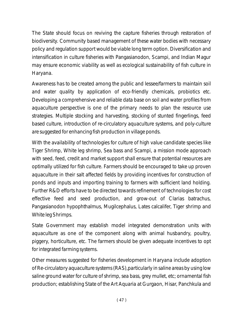The State should focus on reviving the capture fisheries through restoration of biodiversity. Community based management of these water bodies with necessary policy and regulation support would be viable long term option. Diversification and intensification in culture fisheries with *Pangasianodon, Scampi,* and *Indian Magur* may ensure economic viability as well as ecological sustainability of fish culture in Haryana.

Awareness has to be created among the public and lessee/farmers to maintain soil and water quality by application of eco-friendly chemicals, probiotics etc. Developing a comprehensive and reliable data base on soil and water profiles from aquaculture perspective is one of the primary needs to plan the resource use strategies. Multiple stocking and harvesting, stocking of stunted fingerlings, feed based culture, introduction of re-circulatory aquaculture systems, and poly-culture are suggested for enhancing fish production in village ponds.

With the availability of technologies for culture of high value candidate species like Tiger Shrimp, White leg shrimp, Sea bass and Scampi, a mission mode approach with seed, feed, credit and market support shall ensure that potential resources are optimally utilized for fish culture. Farmers should be encouraged to take up proven aquaculture in their salt affected fields by providing incentives for construction of ponds and inputs and importing training to farmers with sufficient land holding. Further R&D efforts have to be directed towards refinement of technologies for cost effective feed and seed production, and grow-out of *Clarias batrachus, Pangasianodon hypophthalmus, Mugilcephalus, Lates calcalifer, Tiger shrimp* and *White leg Shrimps.*

State Government may establish model integrated demonstration units with aquaculture as one of the component along with animal husbandry, poultry, piggery, horticulture, etc. The farmers should be given adequate incentives to opt for integrated farming systems.

Other measures suggested for fisheries development in Haryana include adoption of Re-circulatory aquaculture systems (RAS),particularly in saline areas by using low saline ground water for culture of shrimp, sea bass, grey mullet, etc; ornamental fish production; establishing State of the Art Aquaria at Gurgaon, Hisar, Panchkula and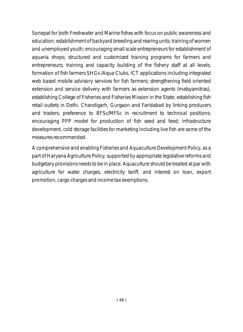Sonepat for both Freshwater and Marine fishes with focus on public awareness and education; establishment of backyard breeding and rearing units; training of women and unemployed youth; encouraging small scale entrepreneurs for establishment of aquaria shops; structured and customized training programs for farmers and entrepreneurs; training and capacity building of the fishery staff at all levels; formation of fish farmers SHGs /Aqua Clubs, ICT applications including integrated web based mobile advisory services for fish farmers; strengthening field oriented extension and service delivery with farmers as extension agents *(matsyamitras), establishing College of Fisheries and Fisheries Mission in the State;* establishing fish retail outlets in Delhi, Chandigarh, Gurgaon and Faridabad by linking producers and traders; preference to BFSc/MFSc in recruitment to technical positions; encouraging PPP model for production of fish seed and feed; infrastructure development, cold storage facilities for marketing including live fish are some of the measures recommended.

A comprehensive and enabling Fisheries and Aquaculture Development Policy, as a part of Haryana Agriculture Policy, supported by appropriate legislative reforms and budgetary provisions needs to be in place. Aquaculture should be treated at par with agriculture for water charges, electricity tariff, and interest on loan, export promotion, cargo charges and income tax exemptions.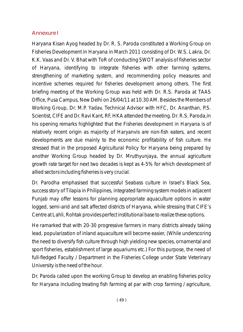#### Annexure I

Haryana Kisan Ayog headed by Dr. R. S. Paroda constituted a Working Group on Fisheries Development in Haryana in March 2011 consisting of Dr. W.S. Lakra, Dr. K.K. Vaas and Dr. V. Bhat with ToR of conducting SWOT analysis of fisheries sector of Haryana, identifying to integrate fisheries with other farming systems, strengthening of marketing system, and recommending policy measures and incentive schemes required for fisheries development among others. The first briefing meeting of the Working Group was held with Dr. R.S. Paroda at TAAS Office, Pusa Campus, New Delhi on 26/04/11 at 10.30 AM. Besides the Members of Working Group, Dr. M.P. Yadav, Technical Advisor with HFC, Dr. Ananthan, P.S. Scientist, CIFE and Dr. Ravi Kant, RF, HKA attended the meeting. Dr. R.S. Paroda,in his opening remarks highlighted that the Fisheries development in Haryana is of relatively recent origin as majority of Haryanvis are non-fish eaters, and recent developments are due mainly to the economic profitability of fish culture. He stressed that in the proposed Agricultural Policy for Haryana being prepared by another Working Group headed by Dr. Mruthyunjaya, the annual agriculture growth rate target for next two decades is kept as 4-5% for which development of allied sectors including fisheries is very crucial.

Dr. Parodha emphasised that successful Seabass culture in Israel's Black Sea, success story of Tilapia in Philippines, integrated farming system models in adjacent Punjab may offer lessons for planning appropriate aquaculture options in water logged, semi-arid and salt affected districts of Haryana, while stressing that CIFE's Centre at Lahli, Rohtak provides perfect institutional base to realize these options.

He ramarked that with 20-30 progressive farmers in many districts already taking lead, popularization of inland aquaculture will become easier, (While underscoring the need to diversify fish culture through high yielding new species, ornamental and sport fisheries, establishment of large aquariums etc.) For this purpose, the need of full-fledged Faculty / Department in the Fisheries College under State Veterinary University is the need of the hour.

Dr. Paroda called upon the working Group to develop an enabling fisheries policy for Haryana including treating fish farming at par with crop farming / agriculture,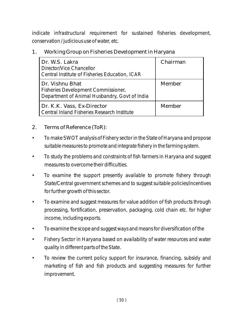indicate infrastructural requirement for sustained fisheries development, conservation / judicious use of water, etc.

1. Working Group on Fisheries Development in Haryana

| Dr. W.S. Lakra<br>Director/Vice Chancellor<br>Central Institute of Fisheries Education, ICAR                   | Chairman |
|----------------------------------------------------------------------------------------------------------------|----------|
| Dr. Vishnu Bhat<br><b>Fisheries Development Commissioner,</b><br>Department of Animal Husbandry, Govt of India | Member   |
| Dr. K.K. Vass, Ex-Director<br>Central Inland Fisheries Research Institute                                      | Member   |

- 2. Terms of Reference (ToR):
- To make SWOT analysis of Fishery sector in the State of Haryana and propose suitable measures to promote and integrate fishery in the farming system.
- To study the problems and constraints of fish farmers in Haryana and suggest measures to overcome their difficulties.
- To examine the support presently available to promote fishery through State/Central government schemes and to suggest suitable policies/incentives for further growth of this sector.
- To examine and suggest measures for value addition of fish products through processing, fortification, preservation, packaging, cold chain etc. for higher income, including exports.
- To examine the scope and suggest ways and means for diversification of the
- Fishery Sector in Haryana based on availability of water resources and water quality in different parts of the State.
- To review the current policy support for insurance, financing, subsidy and marketing of fish and fish products and suggesting measures for further improvement.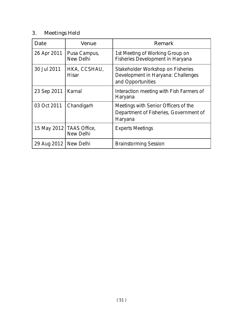# 3. Meetings Held

| Date                    | Venue                                   | Remark                                                                                       |
|-------------------------|-----------------------------------------|----------------------------------------------------------------------------------------------|
| 26 Apr 2011             | Pusa Campus,<br>New Delhi               | 1st Meeting of Working Group on<br><b>Fisheries Development in Haryana</b>                   |
| 30 Jul 2011             | HKA, CCSHAU,<br><b>Hisar</b>            | Stakeholder Workshop on Fisheries<br>Development in Haryana: Challenges<br>and Opportunities |
| 23 Sep 2011             | Karnal                                  | Interaction meeting with Fish Farmers of<br>Haryana                                          |
| 03 Oct 2011             | Chandigarh                              | Meetings with Senior Officers of the<br>Department of Fisheries, Government of<br>Haryana    |
|                         | 15 May 2012   TAAS Office,<br>New Delhi | <b>Experts Meetings</b>                                                                      |
| 29 Aug 2012   New Delhi |                                         | <b>Brainstorming Session</b>                                                                 |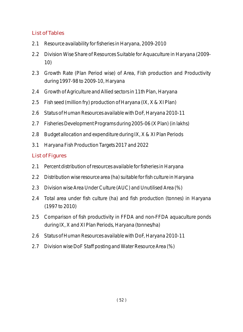### List of Tables

- 2.1 Resource availability for fisheries in Haryana, 2009-2010
- 2.2 Division Wise Share of Resources Suitable for Aquaculture in Haryana (2009- 10)
- 2.3 Growth Rate (Plan Period wise) of Area, Fish production and Productivity during 1997-98 to 2009-10, Haryana
- 2.4 Growth of Agriculture and Allied sectors in 11th Plan, Haryana
- 2.5 Fish seed (million fry) production of Haryana (IX, X & XI Plan)
- 2.6 Status of Human Resources available with DoF, Haryana 2010-11
- 2.7 Fisheries Development Programs during 2005-06 (X Plan) (in lakhs)
- 2.8 Budget allocation and expenditure during IX, X & XI Plan Periods
- 3.1 Haryana Fish Production Targets 2017 and 2022

### List of Figures

- 2.1 Percent distribution of resources available for fisheries in Haryana
- 2.2 Distribution wise resource area (ha) suitable for fish culture in Haryana
- 2.3 Division wise Area Under Culture (AUC) and Unutilised Area (%)
- 2.4 Total area under fish culture (ha) and fish production (tonnes) in Haryana (1997 to 2010)
- 2.5 Comparison of fish productivity in FFDA and non-FFDA aquaculture ponds during IX, X and XI Plan Periods, Haryana (tonnes/ha)
- 2.6 Status of Human Resources available with DoF, Haryana 2010-11
- 2.7 Division wise DoF Staff posting and Water Resource Area (%)